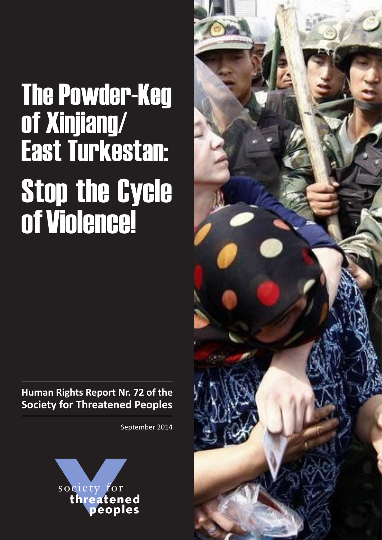# The Powder-Keg of Xinjiang/ East Turkestan: Stop the Cycle of Violence!

**Human Rights Report Nr. 72 of the Society for Threatened Peoples**

September 2014



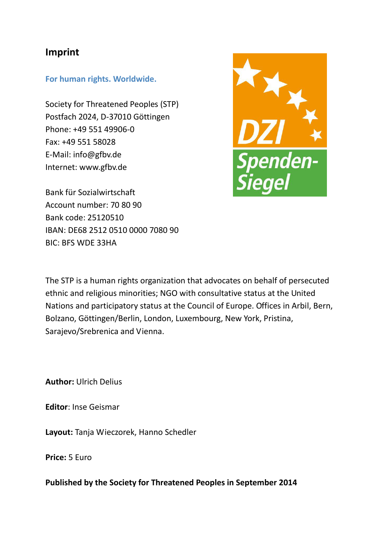#### **Imprint**

#### **For human rights. Worldwide.**

Society for Threatened Peoples (STP) Postfach 2024, D-37010 Göttingen Phone: +49 551 49906-0 Fax: +49 551 58028 E-Mail: info@gfbv.de Internet: www.gfbv.de



Bank für Sozialwirtschaft Account number: 70 80 90 Bank code: 25120510 IBAN: DE68 2512 0510 0000 7080 90 BIC: BFS WDE 33HA

The STP is a human rights organization that advocates on behalf of persecuted ethnic and religious minorities; NGO with consultative status at the United Nations and participatory status at the Council of Europe. Offices in Arbil, Bern, Bolzano, Göttingen/Berlin, London, Luxembourg, New York, Pristina, Sarajevo/Srebrenica and Vienna.

**Author:** Ulrich Delius

**Editor**: Inse Geismar

**Layout:** Tanja Wieczorek, Hanno Schedler

**Price:** 5 Euro

**Published by the Society for Threatened Peoples in September 2014**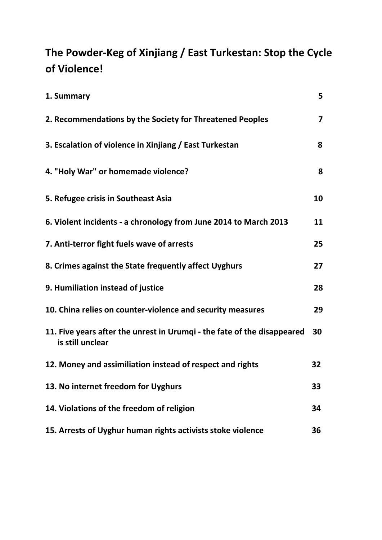# **The Powder-Keg of Xinjiang / East Turkestan: Stop the Cycle of Violence!**

| 1. Summary                                                                                  | 5 <sup>1</sup>          |
|---------------------------------------------------------------------------------------------|-------------------------|
| 2. Recommendations by the Society for Threatened Peoples                                    | $\overline{\mathbf{z}}$ |
| 3. Escalation of violence in Xinjiang / East Turkestan                                      | 8                       |
| 4. "Holy War" or homemade violence?                                                         | 8                       |
| 5. Refugee crisis in Southeast Asia                                                         | 10                      |
| 6. Violent incidents - a chronology from June 2014 to March 2013                            | 11                      |
| 7. Anti-terror fight fuels wave of arrests                                                  | 25                      |
| 8. Crimes against the State frequently affect Uyghurs                                       | 27                      |
| 9. Humiliation instead of justice                                                           | 28                      |
| 10. China relies on counter-violence and security measures                                  | 29                      |
| 11. Five years after the unrest in Urumqi - the fate of the disappeared<br>is still unclear | 30                      |
| 12. Money and assimiliation instead of respect and rights                                   | 32                      |
| 13. No internet freedom for Uyghurs                                                         | 33                      |
| 14. Violations of the freedom of religion                                                   | 34                      |
| 15. Arrests of Uyghur human rights activists stoke violence                                 | 36                      |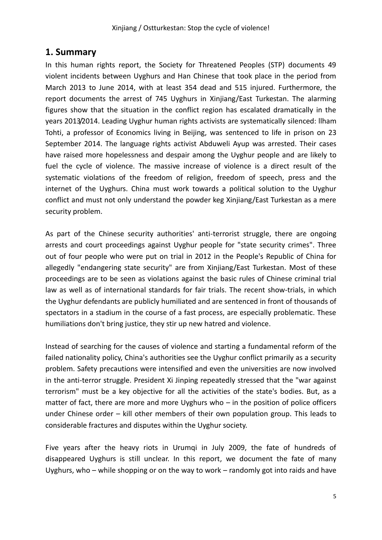#### **1. Summary**

In this human rights report, the Society for Threatened Peoples (STP) documents 49 violent incidents between Uyghurs and Han Chinese that took place in the period from March 2013 to June 2014, with at least 354 dead and 515 injured. Furthermore, the report documents the arrest of 745 Uyghurs in Xinjiang/East Turkestan. The alarming figures show that the situation in the conflict region has escalated dramatically in the years 2013/2014. Leading Uyghur human rights activists are systematically silenced: llham Tohti, a professor of Economics living in Beijing, was sentenced to life in prison on 23 September 2014. The language rights activist Abduweli Ayup was arrested. Their cases have raised more hopelessness and despair among the Uyghur people and are likely to fuel the cycle of violence. The massive increase of violence is a direct result of the systematic violations of the freedom of religion, freedom of speech, press and the internet of the Uyghurs. China must work towards a political solution to the Uyghur conflict and must not only understand the powder keg Xinjiang/East Turkestan as a mere security problem.

As part of the Chinese security authorities' anti-terrorist struggle, there are ongoing arrests and court proceedings against Uyghur people for "state security crimes". Three out of four people who were put on trial in 2012 in the People's Republic of China for allegedly "endangering state security" are from Xinjiang/East Turkestan. Most of these proceedings are to be seen as violations against the basic rules of Chinese criminal trial law as well as of international standards for fair trials. The recent show-trials, in which the Uyghur defendants are publicly humiliated and are sentenced in front of thousands of spectators in a stadium in the course of a fast process, are especially problematic. These humiliations don't bring justice, they stir up new hatred and violence.

Instead of searching for the causes of violence and starting a fundamental reform of the failed nationality policy, China's authorities see the Uyghur conflict primarily as a security problem. Safety precautions were intensified and even the universities are now involved in the anti-terror struggle. President Xi Jinping repeatedly stressed that the "war against terrorism" must be a key objective for all the activities of the state's bodies. But, as a matter of fact, there are more and more Uyghurs who  $-$  in the position of police officers under Chinese order – kill other members of their own population group. This leads to considerable fractures and disputes within the Uyghur society.

Five years after the heavy riots in Urumqi in July 2009, the fate of hundreds of disappeared Uyghurs is still unclear. In this report, we document the fate of many Uyghurs, who – while shopping or on the way to work – randomly got into raids and have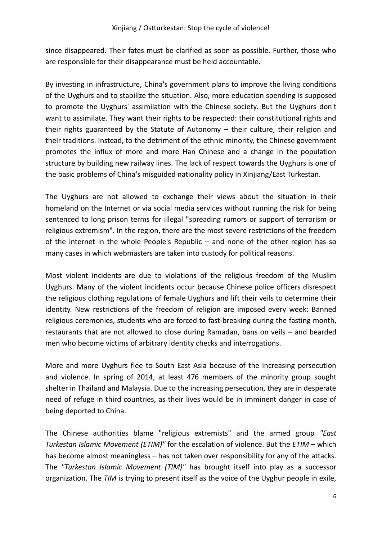since disappeared. Their fates must be clarified as soon as possible. Further, those who are responsible for their disappearance must be held accountable.

By investing in infrastructure, China's government plans to improve the living conditions of the Uyghurs and to stabilize the situation. Also, more education spending is supposed to promote the Uyghurs' assimilation with the Chinese society. But the Uyghurs don't want to assimilate. They want their rights to be respected: their constitutional rights and their rights guaranteed by the Statute of Autonomy – their culture, their religion and their traditions. Instead, to the detriment of the ethnic minority, the Chinese government promotes the influx of more and more Han Chinese and a change in the population structure by building new railway lines. The lack of respect towards the Uyghurs is one of the basic problems of China's misguided nationality policy in Xinjiang/East Turkestan.

The Uyghurs are not allowed to exchange their views about the situation in their homeland on the Internet or via social media services without running the risk for being sentenced to long prison terms for illegal "spreading rumors or support of terrorism or religious extremism". In the region, there are the most severe restrictions of the freedom of the internet in the whole People's Republic – and none of the other region has so many cases in which webmasters are taken into custody for political reasons.

Most violent incidents are due to violations of the religious freedom of the Muslim Uyghurs. Many of the violent incidents occur because Chinese police officers disrespect the religious clothing regulations of female Uyghurs and lift their veils to determine their identity. New restrictions of the freedom of religion are imposed every week: Banned religious ceremonies, students who are forced to fast-breaking during the fasting month, restaurants that are not allowed to close during Ramadan, bans on veils – and bearded men who become victims of arbitrary identity checks and interrogations.

More and more Uyghurs flee to South East Asia because of the increasing persecution and violence. In spring of 2014, at least 476 members of the minority group sought shelter in Thailand and Malaysia. Due to the increasing persecution, they are in desperate need of refuge in third countries, as their lives would be in imminent danger in case of being deported to China.

The Chinese authorities blame "religious extremists" and the armed group *"East Turkestan Islamic Movement (ETIM)"* for the escalation of violence. But the *ETIM* – which has become almost meaningless – has not taken over responsibility for any of the attacks. The *"Turkestan Islamic Movement (TIM)"* has brought itself into play as a successor organization. The *TIM* is trying to present itself as the voice of the Uyghur people in exile,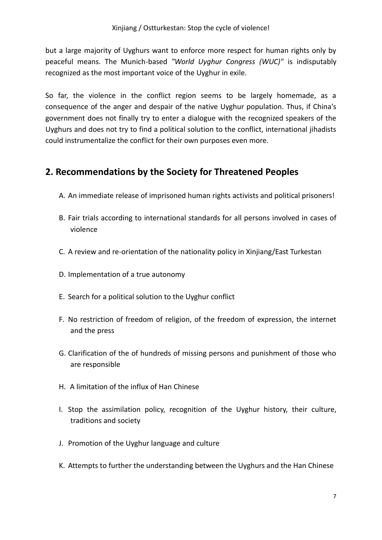but a large majority of Uyghurs want to enforce more respect for human rights only by peaceful means. The Munich-based *"World Uyghur Congress (WUC)"* is indisputably recognized as the most important voice of the Uyghur in exile.

So far, the violence in the conflict region seems to be largely homemade, as a consequence of the anger and despair of the native Uyghur population. Thus, if China's government does not finally try to enter a dialogue with the recognized speakers of the Uyghurs and does not try to find a political solution to the conflict, international jihadists could instrumentalize the conflict for their own purposes even more.

### **2. Recommendations by the Society for Threatened Peoples**

- A. An immediate release of imprisoned human rights activists and political prisoners!
- B. Fair trials according to international standards for all persons involved in cases of violence
- C. A review and re-orientation of the nationality policy in Xinjiang/East Turkestan
- D. Implementation of a true autonomy
- E. Search for a political solution to the Uyghur conflict
- F. No restriction of freedom of religion, of the freedom of expression, the internet and the press
- G. Clarification of the of hundreds of missing persons and punishment of those who are responsible
- H. A limitation of the influx of Han Chinese
- I. Stop the assimilation policy, recognition of the Uyghur history, their culture, traditions and society
- J. Promotion of the Uyghur language and culture
- K. Attempts to further the understanding between the Uyghurs and the Han Chinese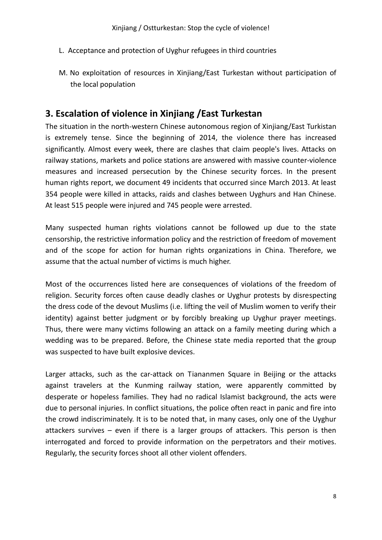- L. Acceptance and protection of Uyghur refugees in third countries
- M. No exploitation of resources in Xinjiang/East Turkestan without participation of the local population

#### **3. Escalation of violence in Xinjiang /East Turkestan**

The situation in the north-western Chinese autonomous region of Xinjiang/East Turkistan is extremely tense. Since the beginning of 2014, the violence there has increased significantly. Almost every week, there are clashes that claim people's lives. Attacks on railway stations, markets and police stations are answered with massive counter-violence measures and increased persecution by the Chinese security forces. In the present human rights report, we document 49 incidents that occurred since March 2013. At least 354 people were killed in attacks, raids and clashes between Uyghurs and Han Chinese. At least 515 people were injured and 745 people were arrested.

Many suspected human rights violations cannot be followed up due to the state censorship, the restrictive information policy and the restriction of freedom of movement and of the scope for action for human rights organizations in China. Therefore, we assume that the actual number of victims is much higher.

Most of the occurrences listed here are consequences of violations of the freedom of religion. Security forces often cause deadly clashes or Uyghur protests by disrespecting the dress code of the devout Muslims (i.e. lifting the veil of Muslim women to verify their identity) against better judgment or by forcibly breaking up Uyghur prayer meetings. Thus, there were many victims following an attack on a family meeting during which a wedding was to be prepared. Before, the Chinese state media reported that the group was suspected to have built explosive devices.

Larger attacks, such as the car-attack on Tiananmen Square in Beijing or the attacks against travelers at the Kunming railway station, were apparently committed by desperate or hopeless families. They had no radical Islamist background, the acts were due to personal injuries. In conflict situations, the police often react in panic and fire into the crowd indiscriminately. It is to be noted that, in many cases, only one of the Uyghur attackers survives – even if there is a larger groups of attackers. This person is then interrogated and forced to provide information on the perpetrators and their motives. Regularly, the security forces shoot all other violent offenders.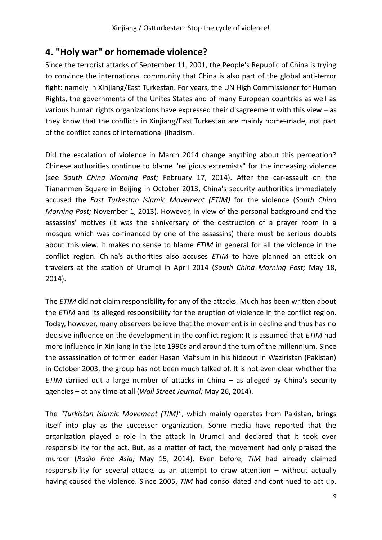## **4. "Holy war" or homemade violence?**

Since the terrorist attacks of September 11, 2001, the People's Republic of China is trying to convince the international community that China is also part of the global anti-terror fight: namely in Xinjiang/East Turkestan. For years, the UN High Commissioner for Human Rights, the governments of the Unites States and of many European countries as well as various human rights organizations have expressed their disagreement with this view – as they know that the conflicts in Xinjiang/East Turkestan are mainly home-made, not part of the conflict zones of international jihadism.

Did the escalation of violence in March 2014 change anything about this perception? Chinese authorities continue to blame "religious extremists" for the increasing violence (see *South China Morning Post;* February 17, 2014). After the car-assault on the Tiananmen Square in Beijing in October 2013, China's security authorities immediately accused the *East Turkestan Islamic Movement (ETIM)* for the violence (*South China Morning Post;* November 1, 2013). However, in view of the personal background and the assassins' motives (it was the anniversary of the destruction of a prayer room in a mosque which was co-financed by one of the assassins) there must be serious doubts about this view. It makes no sense to blame *ETIM* in general for all the violence in the conflict region. China's authorities also accuses *ETIM* to have planned an attack on travelers at the station of Urumqi in April 2014 (*South China Morning Post;* May 18, 2014).

The *ETIM* did not claim responsibility for any of the attacks. Much has been written about the *ETIM* and its alleged responsibility for the eruption of violence in the conflict region. Today, however, many observers believe that the movement is in decline and thus has no decisive influence on the development in the conflict region: It is assumed that *ETIM* had more influence in Xinjiang in the late 1990s and around the turn of the millennium. Since the assassination of former leader Hasan Mahsum in his hideout in Waziristan (Pakistan) in October 2003, the group has not been much talked of. It is not even clear whether the *ETIM* carried out a large number of attacks in China – as alleged by China's security agencies – at any time at all (*Wall Street Journal;* May 26, 2014).

The *"Turkistan Islamic Movement (TIM)"*, which mainly operates from Pakistan, brings itself into play as the successor organization. Some media have reported that the organization played a role in the attack in Urumqi and declared that it took over responsibility for the act. But, as a matter of fact, the movement had only praised the murder (*Radio Free Asia;* May 15, 2014). Even before, *TIM* had already claimed responsibility for several attacks as an attempt to draw attention – without actually having caused the violence. Since 2005, *TIM* had consolidated and continued to act up.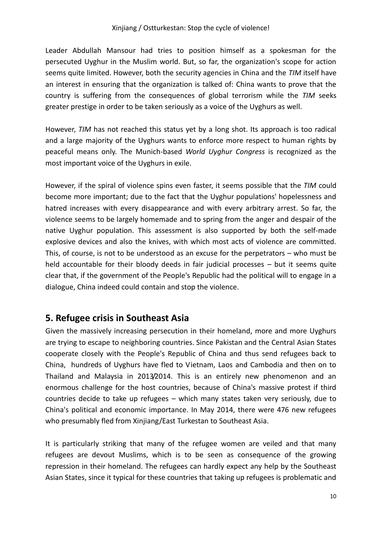Leader Abdullah Mansour had tries to position himself as a spokesman for the persecuted Uyghur in the Muslim world. But, so far, the organization's scope for action seems quite limited. However, both the security agencies in China and the *TIM* itself have an interest in ensuring that the organization is talked of: China wants to prove that the country is suffering from the consequences of global terrorism while the *TIM* seeks greater prestige in order to be taken seriously as a voice of the Uyghurs as well.

However, *TIM* has not reached this status yet by a long shot. Its approach is too radical and a large majority of the Uyghurs wants to enforce more respect to human rights by peaceful means only. The Munich-based *World Uyghur Congress* is recognized as the most important voice of the Uyghurs in exile.

However, if the spiral of violence spins even faster, it seems possible that the *TIM* could become more important; due to the fact that the Uyghur populations' hopelessness and hatred increases with every disappearance and with every arbitrary arrest. So far, the violence seems to be largely homemade and to spring from the anger and despair of the native Uyghur population. This assessment is also supported by both the self-made explosive devices and also the knives, with which most acts of violence are committed. This, of course, is not to be understood as an excuse for the perpetrators – who must be held accountable for their bloody deeds in fair judicial processes – but it seems quite clear that, if the government of the People's Republic had the political will to engage in a dialogue, China indeed could contain and stop the violence.

#### **5. Refugee crisis in Southeast Asia**

Given the massively increasing persecution in their homeland, more and more Uyghurs are trying to escape to neighboring countries. Since Pakistan and the Central Asian States cooperate closely with the People's Republic of China and thus send refugees back to China, hundreds of Uyghurs have fled to Vietnam, Laos and Cambodia and then on to Thailand and Malaysia in 2013/2014. This is an entirely new phenomenon and an enormous challenge for the host countries, because of China's massive protest if third countries decide to take up refugees – which many states taken very seriously, due to China's political and economic importance. In May 2014, there were 476 new refugees who presumably fled from Xinjiang/East Turkestan to Southeast Asia.

It is particularly striking that many of the refugee women are veiled and that many refugees are devout Muslims, which is to be seen as consequence of the growing repression in their homeland. The refugees can hardly expect any help by the Southeast Asian States, since it typical for these countries that taking up refugees is problematic and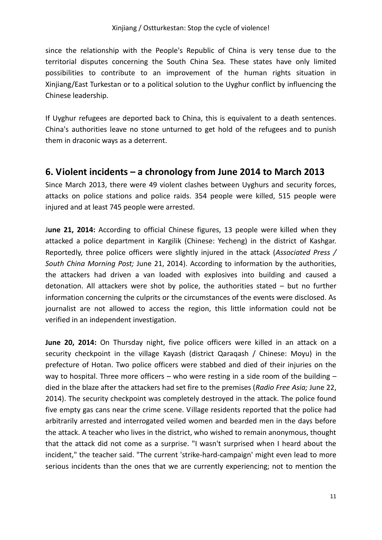since the relationship with the People's Republic of China is very tense due to the territorial disputes concerning the South China Sea. These states have only limited possibilities to contribute to an improvement of the human rights situation in Xinjiang/East Turkestan or to a political solution to the Uyghur conflict by influencing the Chinese leadership.

If Uyghur refugees are deported back to China, this is equivalent to a death sentences. China's authorities leave no stone unturned to get hold of the refugees and to punish them in draconic ways as a deterrent.

#### **6. Violent incidents – a chronology from June 2014 to March 2013**

Since March 2013, there were 49 violent clashes between Uyghurs and security forces, attacks on police stations and police raids. 354 people were killed, 515 people were injured and at least 745 people were arrested.

J**une 21, 2014:** According to official Chinese figures, 13 people were killed when they attacked a police department in Kargilik (Chinese: Yecheng) in the district of Kashgar. Reportedly, three police officers were slightly injured in the attack (*Associated Press / South China Morning Post;* June 21, 2014). According to information by the authorities, the attackers had driven a van loaded with explosives into building and caused a detonation. All attackers were shot by police, the authorities stated – but no further information concerning the culprits or the circumstances of the events were disclosed. As journalist are not allowed to access the region, this little information could not be verified in an independent investigation.

**June 20, 2014:** On Thursday night, five police officers were killed in an attack on a security checkpoint in the village Kayash (district Qaraqash / Chinese: Moyu) in the prefecture of Hotan. Two police officers were stabbed and died of their injuries on the way to hospital. Three more officers – who were resting in a side room of the building  $$ died in the blaze after the attackers had set fire to the premises (*Radio Free Asia;* June 22, 2014). The security checkpoint was completely destroyed in the attack. The police found five empty gas cans near the crime scene. Village residents reported that the police had arbitrarily arrested and interrogated veiled women and bearded men in the days before the attack. A teacher who lives in the district, who wished to remain anonymous, thought that the attack did not come as a surprise. "I wasn't surprised when I heard about the incident," the teacher said. "The current 'strike-hard-campaign' might even lead to more serious incidents than the ones that we are currently experiencing; not to mention the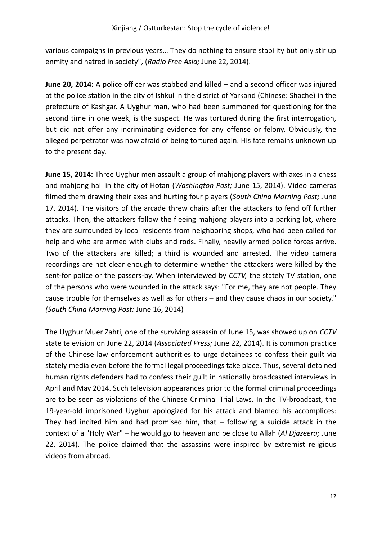various campaigns in previous years... They do nothing to ensure stability but only stir up enmity and hatred in society", (*Radio Free Asia;* June 22, 2014).

**June 20, 2014:** A police officer was stabbed and killed – and a second officer was injured at the police station in the city of Ishkul in the district of Yarkand (Chinese: Shache) in the prefecture of Kashgar. A Uyghur man, who had been summoned for questioning for the second time in one week, is the suspect. He was tortured during the first interrogation, but did not offer any incriminating evidence for any offense or felony. Obviously, the alleged perpetrator was now afraid of being tortured again. His fate remains unknown up to the present day.

**June 15, 2014:** Three Uyghur men assault a group of mahjong players with axes in a chess and mahjong hall in the city of Hotan (*Washington Post;* June 15, 2014). Video cameras filmed them drawing their axes and hurting four players (*South China Morning Post;* June 17, 2014). The visitors of the arcade threw chairs after the attackers to fend off further attacks. Then, the attackers follow the fleeing mahjong players into a parking lot, where they are surrounded by local residents from neighboring shops, who had been called for help and who are armed with clubs and rods. Finally, heavily armed police forces arrive. Two of the attackers are killed; a third is wounded and arrested. The video camera recordings are not clear enough to determine whether the attackers were killed by the sent-for police or the passers-by. When interviewed by *CCTV,* the stately TV station, one of the persons who were wounded in the attack says: "For me, they are not people. They cause trouble for themselves as well as for others – and they cause chaos in our society." *(South China Morning Post;* June 16, 2014)

The Uyghur Muer Zahti, one of the surviving assassin of June 15, was showed up on *CCTV* state television on June 22, 2014 (*Associated Press;* June 22, 2014). It is common practice of the Chinese law enforcement authorities to urge detainees to confess their guilt via stately media even before the formal legal proceedings take place. Thus, several detained human rights defenders had to confess their guilt in nationally broadcasted interviews in April and May 2014. Such television appearances prior to the formal criminal proceedings are to be seen as violations of the Chinese Criminal Trial Laws. In the TV-broadcast, the 19-year-old imprisoned Uyghur apologized for his attack and blamed his accomplices: They had incited him and had promised him, that  $-$  following a suicide attack in the context of a "Holy War" – he would go to heaven and be close to Allah (*Al Djazeera;* June 22, 2014). The police claimed that the assassins were inspired by extremist religious videos from abroad.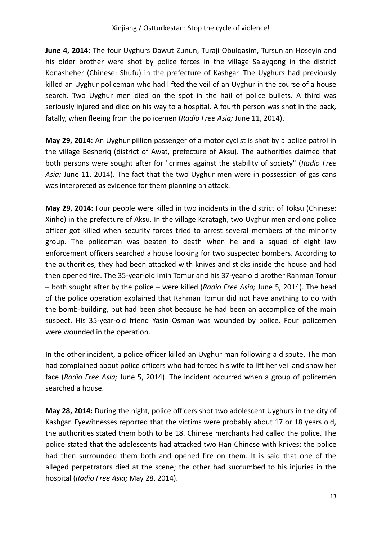**June 4, 2014:** The four Uyghurs Dawut Zunun, Turaji Obulqasim, Tursunjan Hoseyin and his older brother were shot by police forces in the village Salayqong in the district Konasheher (Chinese: Shufu) in the prefecture of Kashgar. The Uyghurs had previously killed an Uyghur policeman who had lifted the veil of an Uyghur in the course of a house search. Two Uyghur men died on the spot in the hail of police bullets. A third was seriously injured and died on his way to a hospital. A fourth person was shot in the back, fatally, when fleeing from the policemen (*Radio Free Asia;* June 11, 2014).

**May 29, 2014:** An Uyghur pillion passenger of a motor cyclist is shot by a police patrol in the village Besheriq (district of Awat, prefecture of Aksu). The authorities claimed that both persons were sought after for "crimes against the stability of society" (*Radio Free Asia;* June 11, 2014). The fact that the two Uyghur men were in possession of gas cans was interpreted as evidence for them planning an attack.

**May 29, 2014:** Four people were killed in two incidents in the district of Toksu (Chinese: Xinhe) in the prefecture of Aksu. In the village Karatagh, two Uyghur men and one police officer got killed when security forces tried to arrest several members of the minority group. The policeman was beaten to death when he and a squad of eight law enforcement officers searched a house looking for two suspected bombers. According to the authorities, they had been attacked with knives and sticks inside the house and had then opened fire. The 35-year-old Imin Tomur and his 37-year-old brother Rahman Tomur – both sought after by the police – were killed (*Radio Free Asia;* June 5, 2014). The head of the police operation explained that Rahman Tomur did not have anything to do with the bomb-building, but had been shot because he had been an accomplice of the main suspect. His 35-year-old friend Yasin Osman was wounded by police. Four policemen were wounded in the operation.

In the other incident, a police officer killed an Uyghur man following a dispute. The man had complained about police officers who had forced his wife to lift her veil and show her face (*Radio Free Asia;* June 5, 2014). The incident occurred when a group of policemen searched a house.

**May 28, 2014:** During the night, police officers shot two adolescent Uyghurs in the city of Kashgar. Eyewitnesses reported that the victims were probably about 17 or 18 years old, the authorities stated them both to be 18. Chinese merchants had called the police. The police stated that the adolescents had attacked two Han Chinese with knives; the police had then surrounded them both and opened fire on them. It is said that one of the alleged perpetrators died at the scene; the other had succumbed to his injuries in the hospital (*Radio Free Asia;* May 28, 2014).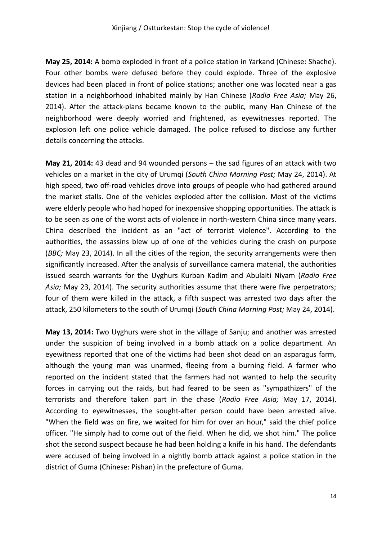**May 25, 2014:** A bomb exploded in front of a police station in Yarkand (Chinese: Shache). Four other bombs were defused before they could explode. Three of the explosive devices had been placed in front of police stations; another one was located near a gas station in a neighborhood inhabited mainly by Han Chinese (*Radio Free Asia;* May 26, 2014). After the attack-plans became known to the public, many Han Chinese of the neighborhood were deeply worried and frightened, as eyewitnesses reported. The explosion left one police vehicle damaged. The police refused to disclose any further details concerning the attacks.

**May 21, 2014:** 43 dead and 94 wounded persons – the sad figures of an attack with two vehicles on a market in the city of Urumqi (*South China Morning Post;* May 24, 2014). At high speed, two off-road vehicles drove into groups of people who had gathered around the market stalls. One of the vehicles exploded after the collision. Most of the victims were elderly people who had hoped for inexpensive shopping opportunities. The attack is to be seen as one of the worst acts of violence in north-western China since many years. China described the incident as an "act of terrorist violence". According to the authorities, the assassins blew up of one of the vehicles during the crash on purpose (*BBC;* May 23, 2014). In all the cities of the region, the security arrangements were then significantly increased. After the analysis of surveillance camera material, the authorities issued search warrants for the Uyghurs Kurban Kadim and Abulaiti Niyam (*Radio Free Asia;* May 23, 2014). The security authorities assume that there were five perpetrators; four of them were killed in the attack, a fifth suspect was arrested two days after the attack, 250 kilometers to the south of Urumqi (*South China Morning Post;* May 24, 2014).

**May 13, 2014:** Two Uyghurs were shot in the village of Sanju; and another was arrested under the suspicion of being involved in a bomb attack on a police department. An eyewitness reported that one of the victims had been shot dead on an asparagus farm, although the young man was unarmed, fleeing from a burning field. A farmer who reported on the incident stated that the farmers had not wanted to help the security forces in carrying out the raids, but had feared to be seen as "sympathizers" of the terrorists and therefore taken part in the chase (*Radio Free Asia;* May 17, 2014). According to eyewitnesses, the sought-after person could have been arrested alive. "When the field was on fire, we waited for him for over an hour," said the chief police officer. "He simply had to come out of the field. When he did, we shot him." The police shot the second suspect because he had been holding a knife in his hand. The defendants were accused of being involved in a nightly bomb attack against a police station in the district of Guma (Chinese: Pishan) in the prefecture of Guma.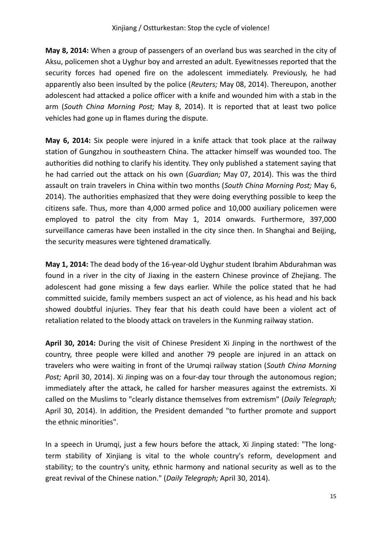**May 8, 2014:** When a group of passengers of an overland bus was searched in the city of Aksu, policemen shot a Uyghur boy and arrested an adult. Eyewitnesses reported that the security forces had opened fire on the adolescent immediately. Previously, he had apparently also been insulted by the police (*Reuters;* May 08, 2014). Thereupon, another adolescent had attacked a police officer with a knife and wounded him with a stab in the arm (*South China Morning Post;* May 8, 2014). It is reported that at least two police vehicles had gone up in flames during the dispute.

**May 6, 2014:** Six people were injured in a knife attack that took place at the railway station of Gungzhou in southeastern China. The attacker himself was wounded too. The authorities did nothing to clarify his identity. They only published a statement saying that he had carried out the attack on his own (*Guardian;* May 07, 2014). This was the third assault on train travelers in China within two months (*South China Morning Post;* May 6, 2014). The authorities emphasized that they were doing everything possible to keep the citizens safe. Thus, more than 4,000 armed police and 10,000 auxiliary policemen were employed to patrol the city from May 1, 2014 onwards. Furthermore, 397,000 surveillance cameras have been installed in the city since then. In Shanghai and Beijing, the security measures were tightened dramatically.

**May 1, 2014:** The dead body of the 16-year-old Uyghur student Ibrahim Abdurahman was found in a river in the city of Jiaxing in the eastern Chinese province of Zhejiang. The adolescent had gone missing a few days earlier. While the police stated that he had committed suicide, family members suspect an act of violence, as his head and his back showed doubtful injuries. They fear that his death could have been a violent act of retaliation related to the bloody attack on travelers in the Kunming railway station.

**April 30, 2014:** During the visit of Chinese President Xi Jinping in the northwest of the country, three people were killed and another 79 people are injured in an attack on travelers who were waiting in front of the Urumqi railway station (*South China Morning Post;* April 30, 2014). Xi Jinping was on a four-day tour through the autonomous region; immediately after the attack, he called for harsher measures against the extremists. Xi called on the Muslims to "clearly distance themselves from extremism" (*Daily Telegraph;* April 30, 2014). In addition, the President demanded "to further promote and support the ethnic minorities".

In a speech in Urumqi, just a few hours before the attack, Xi Jinping stated: "The longterm stability of Xinjiang is vital to the whole country's reform, development and stability; to the country's unity, ethnic harmony and national security as well as to the great revival of the Chinese nation." (*Daily Telegraph;* April 30, 2014).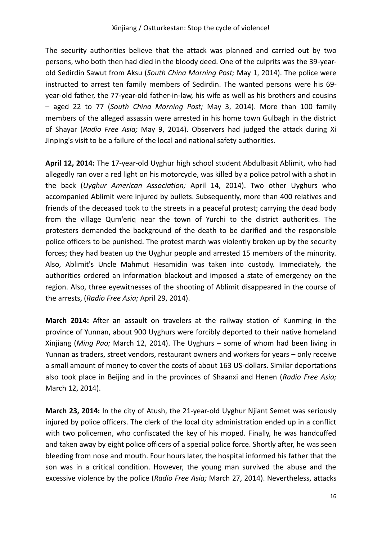The security authorities believe that the attack was planned and carried out by two persons, who both then had died in the bloody deed. One of the culprits was the 39-yearold Sedirdin Sawut from Aksu (*South China Morning Post;* May 1, 2014). The police were instructed to arrest ten family members of Sedirdin. The wanted persons were his 69 year-old father, the 77-year-old father-in-law, his wife as well as his brothers and cousins – aged 22 to 77 (*South China Morning Post;* May 3, 2014). More than 100 family members of the alleged assassin were arrested in his home town Gulbagh in the district of Shayar (*Radio Free Asia;* May 9, 2014). Observers had judged the attack during Xi Jinping's visit to be a failure of the local and national safety authorities.

**April 12, 2014:** The 17-year-old Uyghur high school student Abdulbasit Ablimit, who had allegedly ran over a red light on his motorcycle, was killed by a police patrol with a shot in the back (*Uyghur American Association;* April 14, 2014). Two other Uyghurs who accompanied Ablimit were injured by bullets. Subsequently, more than 400 relatives and friends of the deceased took to the streets in a peaceful protest; carrying the dead body from the village Qum'eriq near the town of Yurchi to the district authorities. The protesters demanded the background of the death to be clarified and the responsible police officers to be punished. The protest march was violently broken up by the security forces; they had beaten up the Uyghur people and arrested 15 members of the minority. Also, Ablimit's Uncle Mahmut Hesamidin was taken into custody. Immediately, the authorities ordered an information blackout and imposed a state of emergency on the region. Also, three eyewitnesses of the shooting of Ablimit disappeared in the course of the arrests, (*Radio Free Asia;* April 29, 2014).

**March 2014:** After an assault on travelers at the railway station of Kunming in the province of Yunnan, about 900 Uyghurs were forcibly deported to their native homeland Xinjiang (*Ming Pao;* March 12, 2014). The Uyghurs – some of whom had been living in Yunnan as traders, street vendors, restaurant owners and workers for years – only receive a small amount of money to cover the costs of about 163 US-dollars. Similar deportations also took place in Beijing and in the provinces of Shaanxi and Henen (*Radio Free Asia;* March 12, 2014).

**March 23, 2014:** In the city of Atush, the 21-year-old Uyghur Njiant Semet was seriously injured by police officers. The clerk of the local city administration ended up in a conflict with two policemen, who confiscated the key of his moped. Finally, he was handcuffed and taken away by eight police officers of a special police force. Shortly after, he was seen bleeding from nose and mouth. Four hours later, the hospital informed his father that the son was in a critical condition. However, the young man survived the abuse and the excessive violence by the police (*Radio Free Asia;* March 27, 2014). Nevertheless, attacks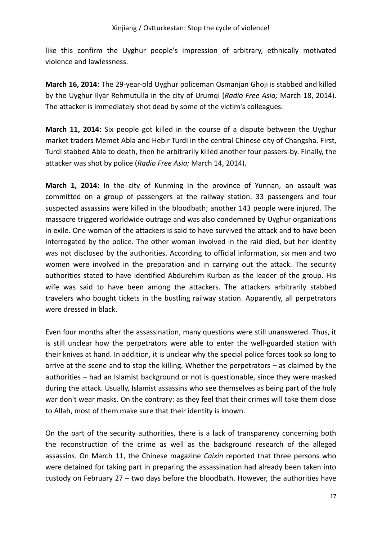like this confirm the Uyghur people's impression of arbitrary, ethnically motivated violence and lawlessness.

**March 16, 2014:** The 29-year-old Uyghur policeman Osmanjan Ghoji is stabbed and killed by the Uyghur Ilyar Rehmutulla in the city of Urumqi (*Radio Free Asia;* March 18, 2014). The attacker is immediately shot dead by some of the victim's colleagues.

**March 11, 2014:** Six people got killed in the course of a dispute between the Uyghur market traders Memet Abla and Hebir Turdi in the central Chinese city of Changsha. First, Turdi stabbed Abla to death, then he arbitrarily killed another four passers-by. Finally, the attacker was shot by police (*Radio Free Asia;* March 14, 2014).

**March 1, 2014:** In the city of Kunming in the province of Yunnan, an assault was committed on a group of passengers at the railway station. 33 passengers and four suspected assassins were killed in the bloodbath; another 143 people were injured. The massacre triggered worldwide outrage and was also condemned by Uyghur organizations in exile. One woman of the attackers is said to have survived the attack and to have been interrogated by the police. The other woman involved in the raid died, but her identity was not disclosed by the authorities. According to official information, six men and two women were involved in the preparation and in carrying out the attack. The security authorities stated to have identified Abdurehim Kurban as the leader of the group. His wife was said to have been among the attackers. The attackers arbitrarily stabbed travelers who bought tickets in the bustling railway station. Apparently, all perpetrators were dressed in black.

Even four months after the assassination, many questions were still unanswered. Thus, it is still unclear how the perpetrators were able to enter the well-guarded station with their knives at hand. In addition, it is unclear why the special police forces took so long to arrive at the scene and to stop the killing. Whether the perpetrators – as claimed by the authorities – had an Islamist background or not is questionable, since they were masked during the attack. Usually, Islamist assassins who see themselves as being part of the holy war don't wear masks. On the contrary: as they feel that their crimes will take them close to Allah, most of them make sure that their identity is known.

On the part of the security authorities, there is a lack of transparency concerning both the reconstruction of the crime as well as the background research of the alleged assassins. On March 11, the Chinese magazine *Caixin* reported that three persons who were detained for taking part in preparing the assassination had already been taken into custody on February 27 – two days before the bloodbath. However, the authorities have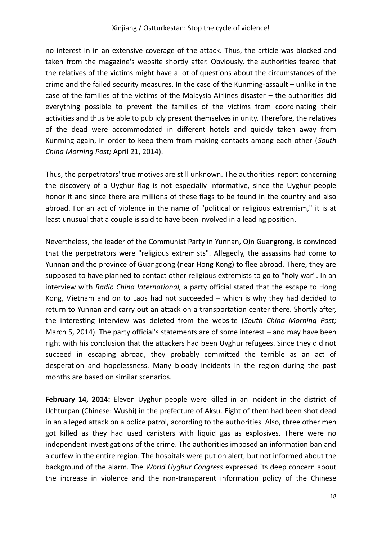no interest in in an extensive coverage of the attack. Thus, the article was blocked and taken from the magazine's website shortly after. Obviously, the authorities feared that the relatives of the victims might have a lot of questions about the circumstances of the crime and the failed security measures. In the case of the Kunming-assault – unlike in the case of the families of the victims of the Malaysia Airlines disaster – the authorities did everything possible to prevent the families of the victims from coordinating their activities and thus be able to publicly present themselves in unity. Therefore, the relatives of the dead were accommodated in different hotels and quickly taken away from Kunming again, in order to keep them from making contacts among each other (*South China Morning Post;* April 21, 2014).

Thus, the perpetrators' true motives are still unknown. The authorities' report concerning the discovery of a Uyghur flag is not especially informative, since the Uyghur people honor it and since there are millions of these flags to be found in the country and also abroad. For an act of violence in the name of "political or religious extremism," it is at least unusual that a couple is said to have been involved in a leading position.

Nevertheless, the leader of the Communist Party in Yunnan, Qin Guangrong, is convinced that the perpetrators were "religious extremists". Allegedly, the assassins had come to Yunnan and the province of Guangdong (near Hong Kong) to flee abroad. There, they are supposed to have planned to contact other religious extremists to go to "holy war". In an interview with *Radio China International,* a party official stated that the escape to Hong Kong, Vietnam and on to Laos had not succeeded – which is why they had decided to return to Yunnan and carry out an attack on a transportation center there. Shortly after, the interesting interview was deleted from the website (*South China Morning Post;* March 5, 2014). The party official's statements are of some interest – and may have been right with his conclusion that the attackers had been Uyghur refugees. Since they did not succeed in escaping abroad, they probably committed the terrible as an act of desperation and hopelessness. Many bloody incidents in the region during the past months are based on similar scenarios.

**February 14, 2014:** Eleven Uyghur people were killed in an incident in the district of Uchturpan (Chinese: Wushi) in the prefecture of Aksu. Eight of them had been shot dead in an alleged attack on a police patrol, according to the authorities. Also, three other men got killed as they had used canisters with liquid gas as explosives. There were no independent investigations of the crime. The authorities imposed an information ban and a curfew in the entire region. The hospitals were put on alert, but not informed about the background of the alarm. The *World Uyghur Congress* expressed its deep concern about the increase in violence and the non-transparent information policy of the Chinese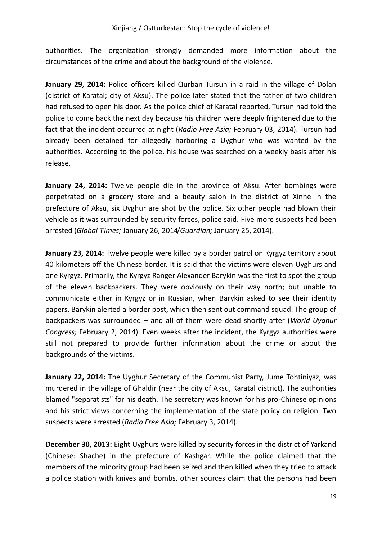authorities. The organization strongly demanded more information about the circumstances of the crime and about the background of the violence.

**January 29, 2014:** Police officers killed Qurban Tursun in a raid in the village of Dolan (district of Karatal; city of Aksu). The police later stated that the father of two children had refused to open his door. As the police chief of Karatal reported, Tursun had told the police to come back the next day because his children were deeply frightened due to the fact that the incident occurred at night (*Radio Free Asia;* February 03, 2014). Tursun had already been detained for allegedly harboring a Uyghur who was wanted by the authorities. According to the police, his house was searched on a weekly basis after his release.

**January 24, 2014:** Twelve people die in the province of Aksu. After bombings were perpetrated on a grocery store and a beauty salon in the district of Xinhe in the prefecture of Aksu, six Uyghur are shot by the police. Six other people had blown their vehicle as it was surrounded by security forces, police said. Five more suspects had been arrested (*Global Times;* January 26, 2014/*Guardian;* January 25, 2014).

**January 23, 2014:** Twelve people were killed by a border patrol on Kyrgyz territory about 40 kilometers off the Chinese border. It is said that the victims were eleven Uyghurs and one Kyrgyz. Primarily, the Kyrgyz Ranger Alexander Barykin was the first to spot the group of the eleven backpackers. They were obviously on their way north; but unable to communicate either in Kyrgyz or in Russian, when Barykin asked to see their identity papers. Barykin alerted a border post, which then sent out command squad. The group of backpackers was surrounded – and all of them were dead shortly after (*World Uyghur Congress;* February 2, 2014). Even weeks after the incident, the Kyrgyz authorities were still not prepared to provide further information about the crime or about the backgrounds of the victims.

**January 22, 2014:** The Uyghur Secretary of the Communist Party, Jume Tohtiniyaz, was murdered in the village of Ghaldir (near the city of Aksu, Karatal district). The authorities blamed "separatists" for his death. The secretary was known for his pro-Chinese opinions and his strict views concerning the implementation of the state policy on religion. Two suspects were arrested (*Radio Free Asia;* February 3, 2014).

**December 30, 2013:** Eight Uyghurs were killed by security forces in the district of Yarkand (Chinese: Shache) in the prefecture of Kashgar. While the police claimed that the members of the minority group had been seized and then killed when they tried to attack a police station with knives and bombs, other sources claim that the persons had been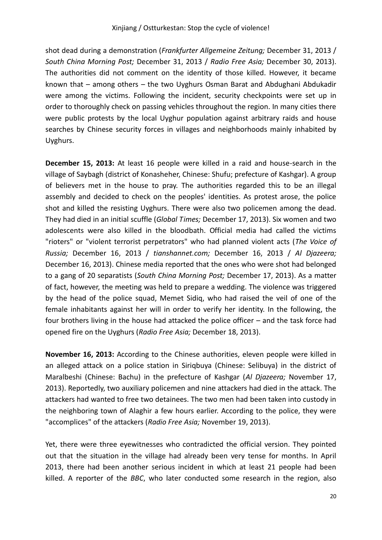shot dead during a demonstration (*Frankfurter Allgemeine Zeitung;* December 31, 2013 / *South China Morning Post;* December 31, 2013 / *Radio Free Asia;* December 30, 2013). The authorities did not comment on the identity of those killed. However, it became known that – among others – the two Uyghurs Osman Barat and Abdughani Abdukadir were among the victims. Following the incident, security checkpoints were set up in order to thoroughly check on passing vehicles throughout the region. In many cities there were public protests by the local Uyghur population against arbitrary raids and house searches by Chinese security forces in villages and neighborhoods mainly inhabited by Uyghurs.

**December 15, 2013:** At least 16 people were killed in a raid and house-search in the village of Saybagh (district of Konasheher, Chinese: Shufu; prefecture of Kashgar). A group of believers met in the house to pray. The authorities regarded this to be an illegal assembly and decided to check on the peoples' identities. As protest arose, the police shot and killed the resisting Uyghurs. There were also two policemen among the dead. They had died in an initial scuffle (*Global Times;* December 17, 2013). Six women and two adolescents were also killed in the bloodbath. Official media had called the victims "rioters" or "violent terrorist perpetrators" who had planned violent acts (*The Voice of Russia;* December 16, 2013 / *tianshannet.com;* December 16, 2013 / *Al Djazeera;* December 16, 2013). Chinese media reported that the ones who were shot had belonged to a gang of 20 separatists (*South China Morning Post;* December 17, 2013). As a matter of fact, however, the meeting was held to prepare a wedding. The violence was triggered by the head of the police squad, Memet Sidiq, who had raised the veil of one of the female inhabitants against her will in order to verify her identity. In the following, the four brothers living in the house had attacked the police officer – and the task force had opened fire on the Uyghurs (*Radio Free Asia;* December 18, 2013).

**November 16, 2013:** According to the Chinese authorities, eleven people were killed in an alleged attack on a police station in Siriqbuya (Chinese: Selibuya) in the district of Maralbeshi (Chinese: Bachu) in the prefecture of Kashgar (*Al Djazeera;* November 17, 2013). Reportedly, two auxiliary policemen and nine attackers had died in the attack. The attackers had wanted to free two detainees. The two men had been taken into custody in the neighboring town of Alaghir a few hours earlier. According to the police, they were "accomplices" of the attackers (*Radio Free Asia;* November 19, 2013).

Yet, there were three eyewitnesses who contradicted the official version. They pointed out that the situation in the village had already been very tense for months. In April 2013, there had been another serious incident in which at least 21 people had been killed. A reporter of the *BBC*, who later conducted some research in the region, also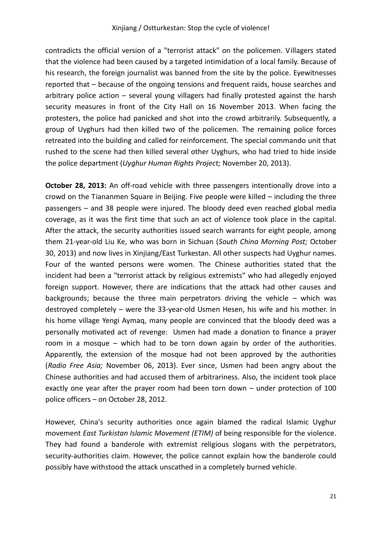contradicts the official version of a "terrorist attack" on the policemen. Villagers stated that the violence had been caused by a targeted intimidation of a local family. Because of his research, the foreign journalist was banned from the site by the police. Eyewitnesses reported that – because of the ongoing tensions and frequent raids, house searches and arbitrary police action – several young villagers had finally protested against the harsh security measures in front of the City Hall on 16 November 2013. When facing the protesters, the police had panicked and shot into the crowd arbitrarily. Subsequently, a group of Uyghurs had then killed two of the policemen. The remaining police forces retreated into the building and called for reinforcement. The special commando unit that rushed to the scene had then killed several other Uyghurs, who had tried to hide inside the police department (*Uyghur Human Rights Project;* November 20, 2013).

**October 28, 2013:** An off-road vehicle with three passengers intentionally drove into a crowd on the Tiananmen Square in Beijing. Five people were killed – including the three passengers – and 38 people were injured. The bloody deed even reached global media coverage, as it was the first time that such an act of violence took place in the capital. After the attack, the security authorities issued search warrants for eight people, among them 21-year-old Liu Ke, who was born in Sichuan (*South China Morning Post;* October 30, 2013) and now lives in Xinjiang/East Turkestan. All other suspects had Uyghur names. Four of the wanted persons were women. The Chinese authorities stated that the incident had been a "terrorist attack by religious extremists" who had allegedly enjoyed foreign support. However, there are indications that the attack had other causes and backgrounds; because the three main perpetrators driving the vehicle – which was destroyed completely – were the 33-year-old Usmen Hesen, his wife and his mother. In his home village Yengi Aymaq, many people are convinced that the bloody deed was a personally motivated act of revenge: Usmen had made a donation to finance a prayer room in a mosque – which had to be torn down again by order of the authorities. Apparently, the extension of the mosque had not been approved by the authorities (*Radio Free Asia;* November 06, 2013). Ever since, Usmen had been angry about the Chinese authorities and had accused them of arbitrariness. Also, the incident took place exactly one year after the prayer room had been torn down – under protection of 100 police officers – on October 28, 2012.

However, China's security authorities once again blamed the radical Islamic Uyghur movement *East Turkistan Islamic Movement (ETIM)* of being responsible for the violence. They had found a banderole with extremist religious slogans with the perpetrators, security-authorities claim. However, the police cannot explain how the banderole could possibly have withstood the attack unscathed in a completely burned vehicle.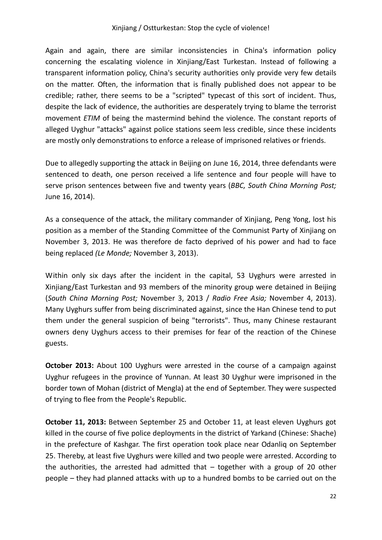#### Xinjiang / Ostturkestan: Stop the cycle of violence!

Again and again, there are similar inconsistencies in China's information policy concerning the escalating violence in Xinjiang/East Turkestan. Instead of following a transparent information policy, China's security authorities only provide very few details on the matter. Often, the information that is finally published does not appear to be credible; rather, there seems to be a "scripted" typecast of this sort of incident. Thus, despite the lack of evidence, the authorities are desperately trying to blame the terrorist movement *ETIM* of being the mastermind behind the violence. The constant reports of alleged Uyghur "attacks" against police stations seem less credible, since these incidents are mostly only demonstrations to enforce a release of imprisoned relatives or friends.

Due to allegedly supporting the attack in Beijing on June 16, 2014, three defendants were sentenced to death, one person received a life sentence and four people will have to serve prison sentences between five and twenty years (*BBC, South China Morning Post;* June 16, 2014).

As a consequence of the attack, the military commander of Xinjiang, Peng Yong, lost his position as a member of the Standing Committee of the Communist Party of Xinjiang on November 3, 2013. He was therefore de facto deprived of his power and had to face being replaced *(Le Monde;* November 3, 2013).

Within only six days after the incident in the capital, 53 Uyghurs were arrested in Xinjiang/East Turkestan and 93 members of the minority group were detained in Beijing (*South China Morning Post;* November 3, 2013 / *Radio Free Asia;* November 4, 2013). Many Uyghurs suffer from being discriminated against, since the Han Chinese tend to put them under the general suspicion of being "terrorists". Thus, many Chinese restaurant owners deny Uyghurs access to their premises for fear of the reaction of the Chinese guests.

**October 2013:** About 100 Uyghurs were arrested in the course of a campaign against Uyghur refugees in the province of Yunnan. At least 30 Uyghur were imprisoned in the border town of Mohan (district of Mengla) at the end of September. They were suspected of trying to flee from the People's Republic.

**October 11, 2013:** Between September 25 and October 11, at least eleven Uyghurs got killed in the course of five police deployments in the district of Yarkand (Chinese: Shache) in the prefecture of Kashgar. The first operation took place near Odanliq on September 25. Thereby, at least five Uyghurs were killed and two people were arrested. According to the authorities, the arrested had admitted that  $-$  together with a group of 20 other people – they had planned attacks with up to a hundred bombs to be carried out on the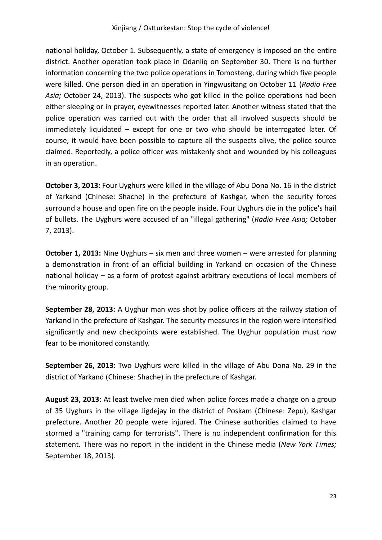national holiday, October 1. Subsequently, a state of emergency is imposed on the entire district. Another operation took place in Odanliq on September 30. There is no further information concerning the two police operations in Tomosteng, during which five people were killed. One person died in an operation in Yingwusitang on October 11 (*Radio Free Asia;* October 24, 2013). The suspects who got killed in the police operations had been either sleeping or in prayer, eyewitnesses reported later. Another witness stated that the police operation was carried out with the order that all involved suspects should be immediately liquidated – except for one or two who should be interrogated later. Of course, it would have been possible to capture all the suspects alive, the police source claimed. Reportedly, a police officer was mistakenly shot and wounded by his colleagues in an operation.

**October 3, 2013:** Four Uyghurs were killed in the village of Abu Dona No. 16 in the district of Yarkand (Chinese: Shache) in the prefecture of Kashgar, when the security forces surround a house and open fire on the people inside. Four Uyghurs die in the police's hail of bullets. The Uyghurs were accused of an "illegal gathering" (*Radio Free Asia;* October 7, 2013).

**October 1, 2013:** Nine Uyghurs – six men and three women – were arrested for planning a demonstration in front of an official building in Yarkand on occasion of the Chinese national holiday – as a form of protest against arbitrary executions of local members of the minority group.

**September 28, 2013:** A Uyghur man was shot by police officers at the railway station of Yarkand in the prefecture of Kashgar. The security measures in the region were intensified significantly and new checkpoints were established. The Uyghur population must now fear to be monitored constantly.

**September 26, 2013:** Two Uyghurs were killed in the village of Abu Dona No. 29 in the district of Yarkand (Chinese: Shache) in the prefecture of Kashgar.

**August 23, 2013:** At least twelve men died when police forces made a charge on a group of 35 Uyghurs in the village Jigdejay in the district of Poskam (Chinese: Zepu), Kashgar prefecture. Another 20 people were injured. The Chinese authorities claimed to have stormed a "training camp for terrorists". There is no independent confirmation for this statement. There was no report in the incident in the Chinese media (*New York Times;* September 18, 2013).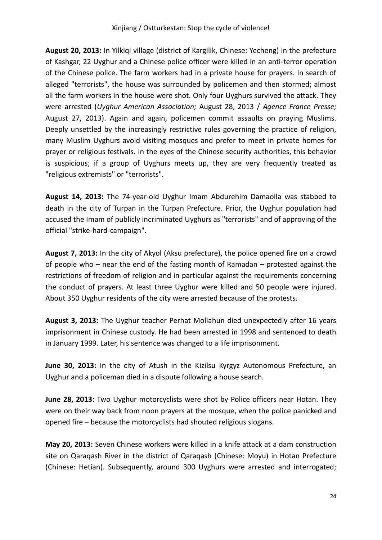**August 20, 2013:** In Yilkiqi village (district of Kargilik, Chinese: Yecheng) in the prefecture of Kashgar, 22 Uyghur and a Chinese police officer were killed in an anti-terror operation of the Chinese police. The farm workers had in a private house for prayers. In search of alleged "terrorists", the house was surrounded by policemen and then stormed; almost all the farm workers in the house were shot. Only four Uyghurs survived the attack. They were arrested (*Uyghur American Association;* August 28, 2013 / *Agence France Presse;* August 27, 2013). Again and again, policemen commit assaults on praying Muslims. Deeply unsettled by the increasingly restrictive rules governing the practice of religion, many Muslim Uyghurs avoid visiting mosques and prefer to meet in private homes for prayer or religious festivals. In the eyes of the Chinese security authorities, this behavior is suspicious; if a group of Uyghurs meets up, they are very frequently treated as "religious extremists" or "terrorists".

**August 14, 2013:** The 74-year-old Uyghur Imam Abdurehim Damaolla was stabbed to death in the city of Turpan in the Turpan Prefecture. Prior, the Uyghur population had accused the Imam of publicly incriminated Uyghurs as "terrorists" and of approving of the official "strike-hard-campaign".

**August 7, 2013:** In the city of Akyol (Aksu prefecture), the police opened fire on a crowd of people who – near the end of the fasting month of Ramadan – protested against the restrictions of freedom of religion and in particular against the requirements concerning the conduct of prayers. At least three Uyghur were killed and 50 people were injured. About 350 Uyghur residents of the city were arrested because of the protests.

**August 3, 2013:** The Uyghur teacher Perhat Mollahun died unexpectedly after 16 years imprisonment in Chinese custody. He had been arrested in 1998 and sentenced to death in January 1999. Later, his sentence was changed to a life imprisonment.

**June 30, 2013:** In the city of Atush in the Kizilsu Kyrgyz Autonomous Prefecture, an Uyghur and a policeman died in a dispute following a house search.

**June 28, 2013:** Two Uyghur motorcyclists were shot by Police officers near Hotan. They were on their way back from noon prayers at the mosque, when the police panicked and opened fire – because the motorcyclists had shouted religious slogans.

**May 20, 2013:** Seven Chinese workers were killed in a knife attack at a dam construction site on Qaraqash River in the district of Qaraqash (Chinese: Moyu) in Hotan Prefecture (Chinese: Hetian). Subsequently, around 300 Uyghurs were arrested and interrogated;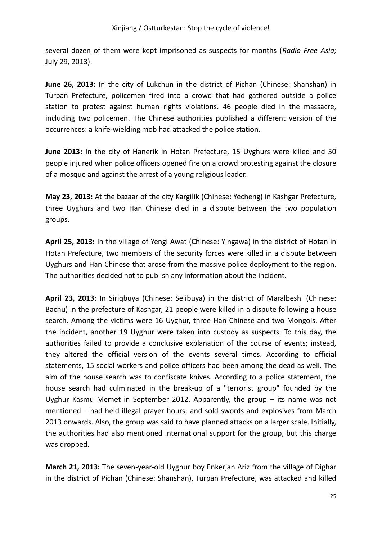several dozen of them were kept imprisoned as suspects for months (*Radio Free Asia;* July 29, 2013).

**June 26, 2013:** In the city of Lukchun in the district of Pichan (Chinese: Shanshan) in Turpan Prefecture, policemen fired into a crowd that had gathered outside a police station to protest against human rights violations. 46 people died in the massacre, including two policemen. The Chinese authorities published a different version of the occurrences: a knife-wielding mob had attacked the police station.

**June 2013:** In the city of Hanerik in Hotan Prefecture, 15 Uyghurs were killed and 50 people injured when police officers opened fire on a crowd protesting against the closure of a mosque and against the arrest of a young religious leader.

**May 23, 2013:** At the bazaar of the city Kargilik (Chinese: Yecheng) in Kashgar Prefecture, three Uyghurs and two Han Chinese died in a dispute between the two population groups.

**April 25, 2013:** In the village of Yengi Awat (Chinese: Yingawa) in the district of Hotan in Hotan Prefecture, two members of the security forces were killed in a dispute between Uyghurs and Han Chinese that arose from the massive police deployment to the region. The authorities decided not to publish any information about the incident.

**April 23, 2013:** In Siriqbuya (Chinese: Selibuya) in the district of Maralbeshi (Chinese: Bachu) in the prefecture of Kashgar, 21 people were killed in a dispute following a house search. Among the victims were 16 Uyghur, three Han Chinese and two Mongols. After the incident, another 19 Uyghur were taken into custody as suspects. To this day, the authorities failed to provide a conclusive explanation of the course of events; instead, they altered the official version of the events several times. According to official statements, 15 social workers and police officers had been among the dead as well. The aim of the house search was to confiscate knives. According to a police statement, the house search had culminated in the break-up of a "terrorist group" founded by the Uyghur Kasmu Memet in September 2012. Apparently, the group – its name was not mentioned – had held illegal prayer hours; and sold swords and explosives from March 2013 onwards. Also, the group was said to have planned attacks on a larger scale. Initially, the authorities had also mentioned international support for the group, but this charge was dropped.

**March 21, 2013:** The seven-year-old Uyghur boy Enkerjan Ariz from the village of Dighar in the district of Pichan (Chinese: Shanshan), Turpan Prefecture, was attacked and killed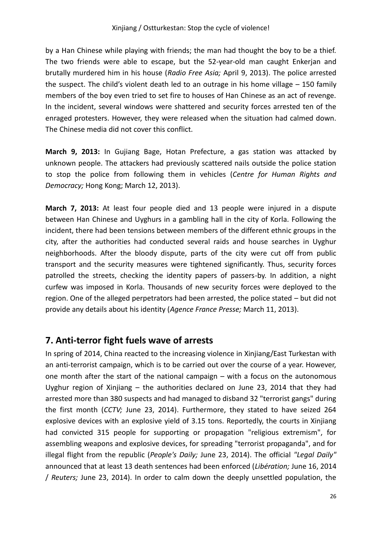by a Han Chinese while playing with friends; the man had thought the boy to be a thief. The two friends were able to escape, but the 52-year-old man caught Enkerjan and brutally murdered him in his house (*Radio Free Asia;* April 9, 2013). The police arrested the suspect. The child's violent death led to an outrage in his home village  $-$  150 family members of the boy even tried to set fire to houses of Han Chinese as an act of revenge. In the incident, several windows were shattered and security forces arrested ten of the enraged protesters. However, they were released when the situation had calmed down. The Chinese media did not cover this conflict.

**March 9, 2013:** In Gujiang Bage, Hotan Prefecture, a gas station was attacked by unknown people. The attackers had previously scattered nails outside the police station to stop the police from following them in vehicles (*Centre for Human Rights and Democracy;* Hong Kong; March 12, 2013).

**March 7, 2013:** At least four people died and 13 people were injured in a dispute between Han Chinese and Uyghurs in a gambling hall in the city of Korla. Following the incident, there had been tensions between members of the different ethnic groups in the city, after the authorities had conducted several raids and house searches in Uyghur neighborhoods. After the bloody dispute, parts of the city were cut off from public transport and the security measures were tightened significantly. Thus, security forces patrolled the streets, checking the identity papers of passers-by. In addition, a night curfew was imposed in Korla. Thousands of new security forces were deployed to the region. One of the alleged perpetrators had been arrested, the police stated – but did not provide any details about his identity (*Agence France Presse;* March 11, 2013).

#### **7. Anti-terror fight fuels wave of arrests**

In spring of 2014, China reacted to the increasing violence in Xinjiang/East Turkestan with an anti-terrorist campaign, which is to be carried out over the course of a year. However, one month after the start of the national campaign – with a focus on the autonomous Uyghur region of Xinjiang – the authorities declared on June 23, 2014 that they had arrested more than 380 suspects and had managed to disband 32 "terrorist gangs" during the first month (*CCTV;* June 23, 2014). Furthermore, they stated to have seized 264 explosive devices with an explosive yield of 3.15 tons. Reportedly, the courts in Xinjiang had convicted 315 people for supporting or propagation "religious extremism", for assembling weapons and explosive devices, for spreading "terrorist propaganda", and for illegal flight from the republic (*People's Daily;* June 23, 2014). The official *"Legal Daily"* announced that at least 13 death sentences had been enforced (*Libération;* June 16, 2014 / *Reuters;* June 23, 2014). In order to calm down the deeply unsettled population, the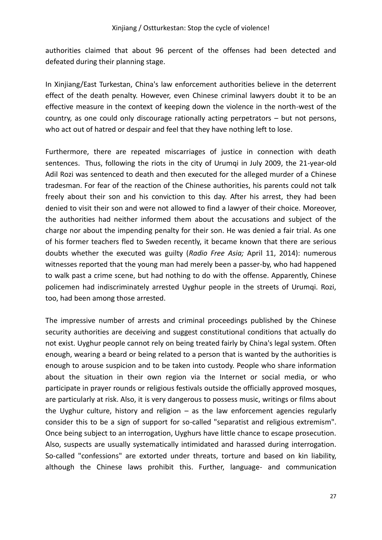authorities claimed that about 96 percent of the offenses had been detected and defeated during their planning stage.

In Xinjiang/East Turkestan, China's law enforcement authorities believe in the deterrent effect of the death penalty. However, even Chinese criminal lawyers doubt it to be an effective measure in the context of keeping down the violence in the north-west of the country, as one could only discourage rationally acting perpetrators – but not persons, who act out of hatred or despair and feel that they have nothing left to lose.

Furthermore, there are repeated miscarriages of justice in connection with death sentences. Thus, following the riots in the city of Urumqi in July 2009, the 21-year-old Adil Rozi was sentenced to death and then executed for the alleged murder of a Chinese tradesman. For fear of the reaction of the Chinese authorities, his parents could not talk freely about their son and his conviction to this day. After his arrest, they had been denied to visit their son and were not allowed to find a lawyer of their choice. Moreover, the authorities had neither informed them about the accusations and subject of the charge nor about the impending penalty for their son. He was denied a fair trial. As one of his former teachers fled to Sweden recently, it became known that there are serious doubts whether the executed was guilty (*Radio Free Asia;* April 11, 2014): numerous witnesses reported that the young man had merely been a passer-by, who had happened to walk past a crime scene, but had nothing to do with the offense. Apparently, Chinese policemen had indiscriminately arrested Uyghur people in the streets of Urumqi. Rozi, too, had been among those arrested.

The impressive number of arrests and criminal proceedings published by the Chinese security authorities are deceiving and suggest constitutional conditions that actually do not exist. Uyghur people cannot rely on being treated fairly by China's legal system. Often enough, wearing a beard or being related to a person that is wanted by the authorities is enough to arouse suspicion and to be taken into custody. People who share information about the situation in their own region via the Internet or social media, or who participate in prayer rounds or religious festivals outside the officially approved mosques, are particularly at risk. Also, it is very dangerous to possess music, writings or films about the Uyghur culture, history and religion  $-$  as the law enforcement agencies regularly consider this to be a sign of support for so-called "separatist and religious extremism". Once being subject to an interrogation, Uyghurs have little chance to escape prosecution. Also, suspects are usually systematically intimidated and harassed during interrogation. So-called "confessions" are extorted under threats, torture and based on kin liability, although the Chinese laws prohibit this. Further, language- and communication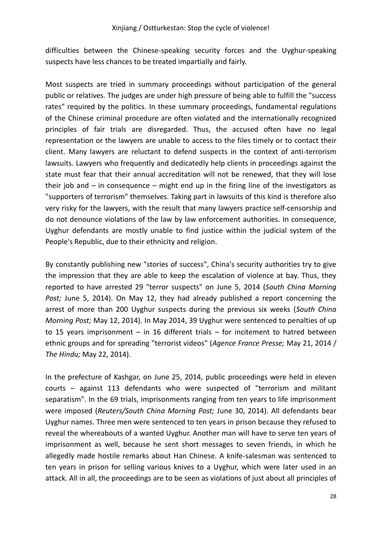difficulties between the Chinese-speaking security forces and the Uyghur-speaking suspects have less chances to be treated impartially and fairly.

Most suspects are tried in summary proceedings without participation of the general public or relatives. The judges are under high pressure of being able to fulfill the "success rates" required by the politics. In these summary proceedings, fundamental regulations of the Chinese criminal procedure are often violated and the internationally recognized principles of fair trials are disregarded. Thus, the accused often have no legal representation or the lawyers are unable to access to the files timely or to contact their client. Many lawyers are reluctant to defend suspects in the context of anti-terrorism lawsuits. Lawyers who frequently and dedicatedly help clients in proceedings against the state must fear that their annual accreditation will not be renewed, that they will lose their job and  $-$  in consequence  $-$  might end up in the firing line of the investigators as "supporters of terrorism" themselves. Taking part in lawsuits of this kind is therefore also very risky for the lawyers, with the result that many lawyers practice self-censorship and do not denounce violations of the law by law enforcement authorities. In consequence, Uyghur defendants are mostly unable to find justice within the judicial system of the People's Republic, due to their ethnicity and religion.

By constantly publishing new "stories of success", China's security authorities try to give the impression that they are able to keep the escalation of violence at bay. Thus, they reported to have arrested 29 "terror suspects" on June 5, 2014 (*South China Morning Post;* June 5, 2014). On May 12, they had already published a report concerning the arrest of more than 200 Uyghur suspects during the previous six weeks (*South China Morning Post;* May 12, 2014). In May 2014, 39 Uyghur were sentenced to penalties of up to 15 years imprisonment – in 16 different trials – for incitement to hatred between ethnic groups and for spreading "terrorist videos" (*Agence France Presse;* May 21, 2014 / *The Hindu;* May 22, 2014).

In the prefecture of Kashgar, on June 25, 2014, public proceedings were held in eleven courts – against 113 defendants who were suspected of "terrorism and militant separatism". In the 69 trials, imprisonments ranging from ten years to life imprisonment were imposed (*Reuters/South China Morning Post;* June 30, 2014). All defendants bear Uyghur names. Three men were sentenced to ten years in prison because they refused to reveal the whereabouts of a wanted Uyghur. Another man will have to serve ten years of imprisonment as well, because he sent short messages to seven friends, in which he allegedly made hostile remarks about Han Chinese. A knife-salesman was sentenced to ten years in prison for selling various knives to a Uyghur, which were later used in an attack. All in all, the proceedings are to be seen as violations of just about all principles of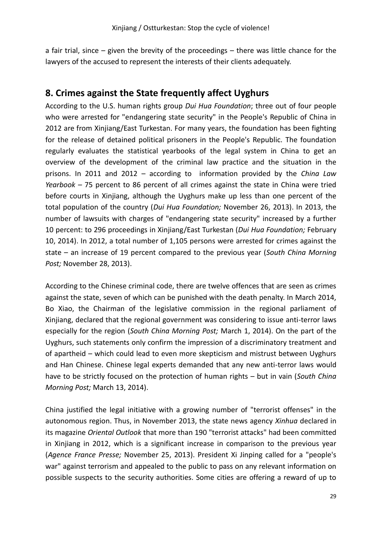a fair trial, since – given the brevity of the proceedings – there was little chance for the lawyers of the accused to represent the interests of their clients adequately.

#### **8. Crimes against the State frequently affect Uyghurs**

According to the U.S. human rights group *Dui Hua Foundation*; three out of four people who were arrested for "endangering state security" in the People's Republic of China in 2012 are from Xinjiang/East Turkestan. For many years, the foundation has been fighting for the release of detained political prisoners in the People's Republic. The foundation regularly evaluates the statistical yearbooks of the legal system in China to get an overview of the development of the criminal law practice and the situation in the prisons. In 2011 and 2012 – according to information provided by the *China Law Yearbook –* 75 percent to 86 percent of all crimes against the state in China were tried before courts in Xinjiang, although the Uyghurs make up less than one percent of the total population of the country (*Dui Hua Foundation;* November 26, 2013). In 2013, the number of lawsuits with charges of "endangering state security" increased by a further 10 percent: to 296 proceedings in Xinjiang/East Turkestan (*Dui Hua Foundation;* February 10, 2014). In 2012, a total number of 1,105 persons were arrested for crimes against the state – an increase of 19 percent compared to the previous year (*South China Morning Post;* November 28, 2013).

According to the Chinese criminal code, there are twelve offences that are seen as crimes against the state, seven of which can be punished with the death penalty. In March 2014, Bo Xiao, the Chairman of the legislative commission in the regional parliament of Xinjiang, declared that the regional government was considering to issue anti-terror laws especially for the region (*South China Morning Post;* March 1, 2014). On the part of the Uyghurs, such statements only confirm the impression of a discriminatory treatment and of apartheid – which could lead to even more skepticism and mistrust between Uyghurs and Han Chinese. Chinese legal experts demanded that any new anti-terror laws would have to be strictly focused on the protection of human rights – but in vain (*South China Morning Post;* March 13, 2014).

China justified the legal initiative with a growing number of "terrorist offenses" in the autonomous region. Thus, in November 2013, the state news agency *Xinhua* declared in its magazine *Oriental Outlook* that more than 190 "terrorist attacks" had been committed in Xinjiang in 2012, which is a significant increase in comparison to the previous year (*Agence France Presse;* November 25, 2013). President Xi Jinping called for a "people's war" against terrorism and appealed to the public to pass on any relevant information on possible suspects to the security authorities. Some cities are offering a reward of up to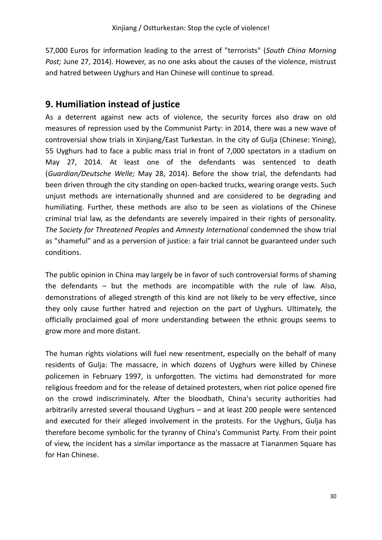57,000 Euros for information leading to the arrest of "terrorists" (*South China Morning Post;* June 27, 2014). However, as no one asks about the causes of the violence, mistrust and hatred between Uyghurs and Han Chinese will continue to spread.

#### **9. Humiliation instead of justice**

As a deterrent against new acts of violence, the security forces also draw on old measures of repression used by the Communist Party: in 2014, there was a new wave of controversial show trials in Xinjiang/East Turkestan. In the city of Gulja (Chinese: Yining), 55 Uyghurs had to face a public mass trial in front of 7,000 spectators in a stadium on May 27, 2014. At least one of the defendants was sentenced to death (*Guardian/Deutsche Welle;* May 28, 2014). Before the show trial, the defendants had been driven through the city standing on open-backed trucks, wearing orange vests. Such unjust methods are internationally shunned and are considered to be degrading and humiliating. Further, these methods are also to be seen as violations of the Chinese criminal trial law, as the defendants are severely impaired in their rights of personality. *The Society for Threatened Peoples* and *Amnesty International* condemned the show trial as "shameful" and as a perversion of justice: a fair trial cannot be guaranteed under such conditions.

The public opinion in China may largely be in favor of such controversial forms of shaming the defendants – but the methods are incompatible with the rule of law. Also, demonstrations of alleged strength of this kind are not likely to be very effective, since they only cause further hatred and rejection on the part of Uyghurs. Ultimately, the officially proclaimed goal of more understanding between the ethnic groups seems to grow more and more distant.

The human rights violations will fuel new resentment, especially on the behalf of many residents of Gulja: The massacre, in which dozens of Uyghurs were killed by Chinese policemen in February 1997, is unforgotten. The victims had demonstrated for more religious freedom and for the release of detained protesters, when riot police opened fire on the crowd indiscriminately. After the bloodbath, China's security authorities had arbitrarily arrested several thousand Uyghurs – and at least 200 people were sentenced and executed for their alleged involvement in the protests. For the Uyghurs, Gulja has therefore become symbolic for the tyranny of China's Communist Party. From their point of view, the incident has a similar importance as the massacre at Tiananmen Square has for Han Chinese.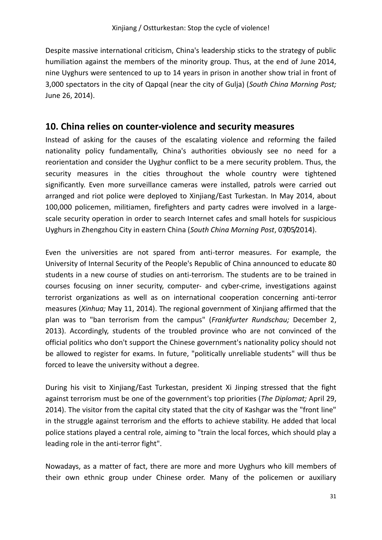Despite massive international criticism, China's leadership sticks to the strategy of public humiliation against the members of the minority group. Thus, at the end of June 2014, nine Uyghurs were sentenced to up to 14 years in prison in another show trial in front of 3,000 spectators in the city of Qapqal (near the city of Gulja) (*South China Morning Post;* June 26, 2014).

#### **10. China relies on counter-violence and security measures**

Instead of asking for the causes of the escalating violence and reforming the failed nationality policy fundamentally, China's authorities obviously see no need for a reorientation and consider the Uyghur conflict to be a mere security problem. Thus, the security measures in the cities throughout the whole country were tightened significantly. Even more surveillance cameras were installed, patrols were carried out arranged and riot police were deployed to Xinjiang/East Turkestan. In May 2014, about 100,000 policemen, militiamen, firefighters and party cadres were involved in a largescale security operation in order to search Internet cafes and small hotels for suspicious Uyghurs in Zhengzhou City in eastern China (*South China Morning Post*, 07/05/2014).

Even the universities are not spared from anti-terror measures. For example, the University of Internal Security of the People's Republic of China announced to educate 80 students in a new course of studies on anti-terrorism. The students are to be trained in courses focusing on inner security, computer- and cyber-crime, investigations against terrorist organizations as well as on international cooperation concerning anti-terror measures (*Xinhua;* May 11, 2014). The regional government of Xinjiang affirmed that the plan was to "ban terrorism from the campus" (*Frankfurter Rundschau;* December 2, 2013). Accordingly, students of the troubled province who are not convinced of the official politics who don't support the Chinese government's nationality policy should not be allowed to register for exams. In future, "politically unreliable students" will thus be forced to leave the university without a degree.

During his visit to Xinjiang/East Turkestan, president Xi Jinping stressed that the fight against terrorism must be one of the government's top priorities (*The Diplomat;* April 29, 2014). The visitor from the capital city stated that the city of Kashgar was the "front line" in the struggle against terrorism and the efforts to achieve stability. He added that local police stations played a central role, aiming to "train the local forces, which should play a leading role in the anti-terror fight".

Nowadays, as a matter of fact, there are more and more Uyghurs who kill members of their own ethnic group under Chinese order. Many of the policemen or auxiliary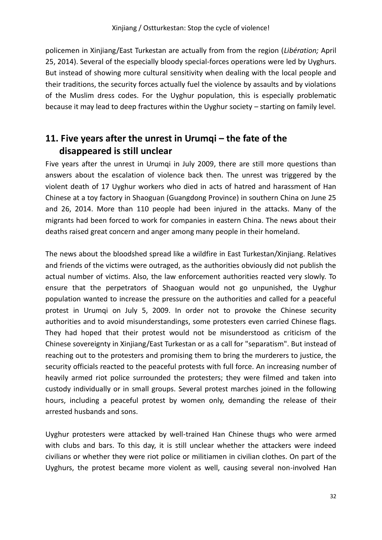policemen in Xinjiang/East Turkestan are actually from from the region (*Libération;* April 25, 2014). Several of the especially bloody special-forces operations were led by Uyghurs. But instead of showing more cultural sensitivity when dealing with the local people and their traditions, the security forces actually fuel the violence by assaults and by violations of the Muslim dress codes. For the Uyghur population, this is especially problematic because it may lead to deep fractures within the Uyghur society – starting on family level.

#### **11. Five years after the unrest in Urumqi – the fate of the disappeared is still unclear**

Five years after the unrest in Urumqi in July 2009, there are still more questions than answers about the escalation of violence back then. The unrest was triggered by the violent death of 17 Uyghur workers who died in acts of hatred and harassment of Han Chinese at a toy factory in Shaoguan (Guangdong Province) in southern China on June 25 and 26, 2014. More than 110 people had been injured in the attacks. Many of the migrants had been forced to work for companies in eastern China. The news about their deaths raised great concern and anger among many people in their homeland.

The news about the bloodshed spread like a wildfire in East Turkestan/Xinjiang. Relatives and friends of the victims were outraged, as the authorities obviously did not publish the actual number of victims. Also, the law enforcement authorities reacted very slowly. To ensure that the perpetrators of Shaoguan would not go unpunished, the Uyghur population wanted to increase the pressure on the authorities and called for a peaceful protest in Urumqi on July 5, 2009. In order not to provoke the Chinese security authorities and to avoid misunderstandings, some protesters even carried Chinese flags. They had hoped that their protest would not be misunderstood as criticism of the Chinese sovereignty in Xinjiang/East Turkestan or as a call for "separatism". But instead of reaching out to the protesters and promising them to bring the murderers to justice, the security officials reacted to the peaceful protests with full force. An increasing number of heavily armed riot police surrounded the protesters; they were filmed and taken into custody individually or in small groups. Several protest marches joined in the following hours, including a peaceful protest by women only, demanding the release of their arrested husbands and sons.

Uyghur protesters were attacked by well-trained Han Chinese thugs who were armed with clubs and bars. To this day, it is still unclear whether the attackers were indeed civilians or whether they were riot police or militiamen in civilian clothes. On part of the Uyghurs, the protest became more violent as well, causing several non-involved Han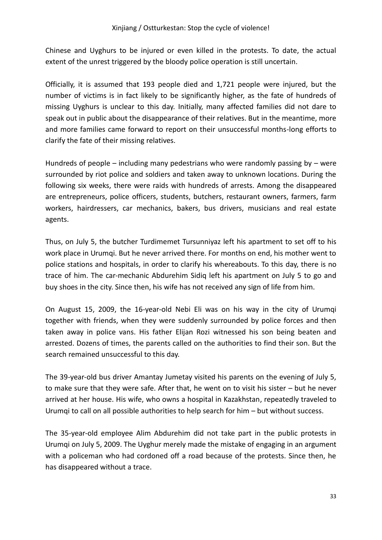Chinese and Uyghurs to be injured or even killed in the protests. To date, the actual extent of the unrest triggered by the bloody police operation is still uncertain.

Officially, it is assumed that 193 people died and 1,721 people were injured, but the number of victims is in fact likely to be significantly higher, as the fate of hundreds of missing Uyghurs is unclear to this day. Initially, many affected families did not dare to speak out in public about the disappearance of their relatives. But in the meantime, more and more families came forward to report on their unsuccessful months-long efforts to clarify the fate of their missing relatives.

Hundreds of people  $-$  including many pedestrians who were randomly passing by  $-$  were surrounded by riot police and soldiers and taken away to unknown locations. During the following six weeks, there were raids with hundreds of arrests. Among the disappeared are entrepreneurs, police officers, students, butchers, restaurant owners, farmers, farm workers, hairdressers, car mechanics, bakers, bus drivers, musicians and real estate agents.

Thus, on July 5, the butcher Turdimemet Tursunniyaz left his apartment to set off to his work place in Urumqi. But he never arrived there. For months on end, his mother went to police stations and hospitals, in order to clarify his whereabouts. To this day, there is no trace of him. The car-mechanic Abdurehim Sidiq left his apartment on July 5 to go and buy shoes in the city. Since then, his wife has not received any sign of life from him.

On August 15, 2009, the 16-year-old Nebi Eli was on his way in the city of Urumqi together with friends, when they were suddenly surrounded by police forces and then taken away in police vans. His father Elijan Rozi witnessed his son being beaten and arrested. Dozens of times, the parents called on the authorities to find their son. But the search remained unsuccessful to this day.

The 39-year-old bus driver Amantay Jumetay visited his parents on the evening of July 5, to make sure that they were safe. After that, he went on to visit his sister – but he never arrived at her house. His wife, who owns a hospital in Kazakhstan, repeatedly traveled to Urumqi to call on all possible authorities to help search for him – but without success.

The 35-year-old employee Alim Abdurehim did not take part in the public protests in Urumqi on July 5, 2009. The Uyghur merely made the mistake of engaging in an argument with a policeman who had cordoned off a road because of the protests. Since then, he has disappeared without a trace.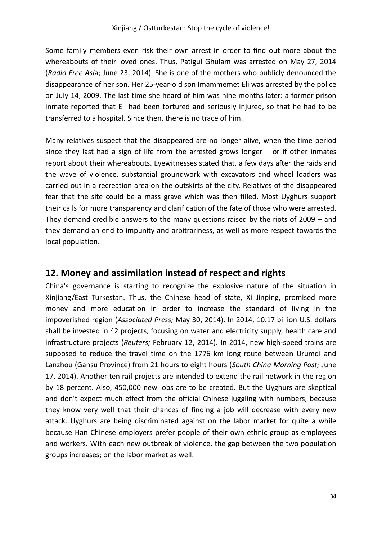Some family members even risk their own arrest in order to find out more about the whereabouts of their loved ones. Thus, Patigul Ghulam was arrested on May 27, 2014 (*Radio Free Asi*a; June 23, 2014). She is one of the mothers who publicly denounced the disappearance of her son. Her 25-year-old son Imammemet Eli was arrested by the police on July 14, 2009. The last time she heard of him was nine months later: a former prison inmate reported that Eli had been tortured and seriously injured, so that he had to be transferred to a hospital. Since then, there is no trace of him.

Many relatives suspect that the disappeared are no longer alive, when the time period since they last had a sign of life from the arrested grows longer  $-$  or if other inmates report about their whereabouts. Eyewitnesses stated that, a few days after the raids and the wave of violence, substantial groundwork with excavators and wheel loaders was carried out in a recreation area on the outskirts of the city. Relatives of the disappeared fear that the site could be a mass grave which was then filled. Most Uyghurs support their calls for more transparency and clarification of the fate of those who were arrested. They demand credible answers to the many questions raised by the riots of 2009 – and they demand an end to impunity and arbitrariness, as well as more respect towards the local population.

#### **12. Money and assimilation instead of respect and rights**

China's governance is starting to recognize the explosive nature of the situation in Xinjiang/East Turkestan. Thus, the Chinese head of state, Xi Jinping, promised more money and more education in order to increase the standard of living in the impoverished region (*Associated Press;* May 30, 2014). In 2014, 10.17 billion U.S. dollars shall be invested in 42 projects, focusing on water and electricity supply, health care and infrastructure projects (*Reuters;* February 12, 2014). In 2014, new high-speed trains are supposed to reduce the travel time on the 1776 km long route between Urumqi and Lanzhou (Gansu Province) from 21 hours to eight hours (*South China Morning Post;* June 17, 2014). Another ten rail projects are intended to extend the rail network in the region by 18 percent. Also, 450,000 new jobs are to be created. But the Uyghurs are skeptical and don't expect much effect from the official Chinese juggling with numbers, because they know very well that their chances of finding a job will decrease with every new attack. Uyghurs are being discriminated against on the labor market for quite a while because Han Chinese employers prefer people of their own ethnic group as employees and workers. With each new outbreak of violence, the gap between the two population groups increases; on the labor market as well.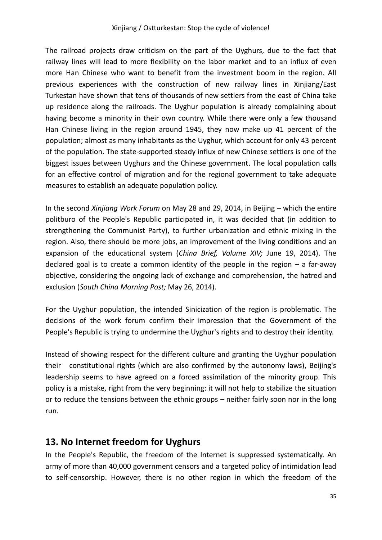The railroad projects draw criticism on the part of the Uyghurs, due to the fact that railway lines will lead to more flexibility on the labor market and to an influx of even more Han Chinese who want to benefit from the investment boom in the region. All previous experiences with the construction of new railway lines in Xinjiang/East Turkestan have shown that tens of thousands of new settlers from the east of China take up residence along the railroads. The Uyghur population is already complaining about having become a minority in their own country. While there were only a few thousand Han Chinese living in the region around 1945, they now make up 41 percent of the population; almost as many inhabitants as the Uyghur, which account for only 43 percent of the population. The state-supported steady influx of new Chinese settlers is one of the biggest issues between Uyghurs and the Chinese government. The local population calls for an effective control of migration and for the regional government to take adequate measures to establish an adequate population policy.

In the second *Xinjiang Work Forum* on May 28 and 29, 2014, in Beijing – which the entire politburo of the People's Republic participated in, it was decided that (in addition to strengthening the Communist Party), to further urbanization and ethnic mixing in the region. Also, there should be more jobs, an improvement of the living conditions and an expansion of the educational system (*China Brief, Volume XIV;* June 19, 2014). The declared goal is to create a common identity of the people in the region – a far-away objective, considering the ongoing lack of exchange and comprehension, the hatred and exclusion (*South China Morning Post;* May 26, 2014).

For the Uyghur population, the intended Sinicization of the region is problematic. The decisions of the work forum confirm their impression that the Government of the People's Republic is trying to undermine the Uyghur's rights and to destroy their identity.

Instead of showing respect for the different culture and granting the Uyghur population their constitutional rights (which are also confirmed by the autonomy laws), Beijing's leadership seems to have agreed on a forced assimilation of the minority group. This policy is a mistake, right from the very beginning: it will not help to stabilize the situation or to reduce the tensions between the ethnic groups – neither fairly soon nor in the long run.

#### **13. No Internet freedom for Uyghurs**

In the People's Republic, the freedom of the Internet is suppressed systematically. An army of more than 40,000 government censors and a targeted policy of intimidation lead to self-censorship. However, there is no other region in which the freedom of the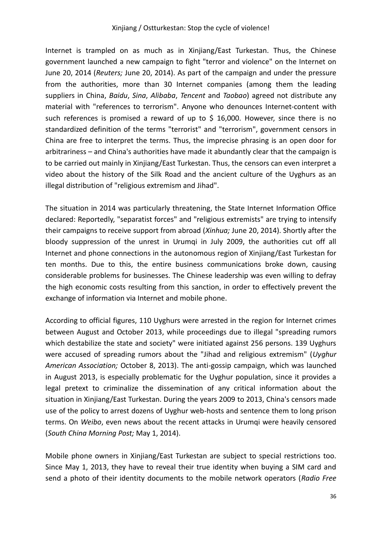Internet is trampled on as much as in Xinjiang/East Turkestan. Thus, the Chinese government launched a new campaign to fight "terror and violence" on the Internet on June 20, 2014 (*Reuters;* June 20, 2014). As part of the campaign and under the pressure from the authorities, more than 30 Internet companies (among them the leading suppliers in China, *Baidu*, *Sina*, *Alibaba*, *Tencent* and *Taobao*) agreed not distribute any material with "references to terrorism". Anyone who denounces Internet-content with such references is promised a reward of up to \$ 16,000. However, since there is no standardized definition of the terms "terrorist" and "terrorism", government censors in China are free to interpret the terms. Thus, the imprecise phrasing is an open door for arbitrariness – and China's authorities have made it abundantly clear that the campaign is to be carried out mainly in Xinjiang/East Turkestan. Thus, the censors can even interpret a video about the history of the Silk Road and the ancient culture of the Uyghurs as an illegal distribution of "religious extremism and Jihad".

The situation in 2014 was particularly threatening, the State Internet Information Office declared: Reportedly, "separatist forces" and "religious extremists" are trying to intensify their campaigns to receive support from abroad (*Xinhua;* June 20, 2014). Shortly after the bloody suppression of the unrest in Urumqi in July 2009, the authorities cut off all Internet and phone connections in the autonomous region of Xinjiang/East Turkestan for ten months. Due to this, the entire business communications broke down, causing considerable problems for businesses. The Chinese leadership was even willing to defray the high economic costs resulting from this sanction, in order to effectively prevent the exchange of information via Internet and mobile phone.

According to official figures, 110 Uyghurs were arrested in the region for Internet crimes between August and October 2013, while proceedings due to illegal "spreading rumors which destabilize the state and society" were initiated against 256 persons. 139 Uyghurs were accused of spreading rumors about the "Jihad and religious extremism" (*Uyghur American Association;* October 8, 2013). The anti-gossip campaign, which was launched in August 2013, is especially problematic for the Uyghur population, since it provides a legal pretext to criminalize the dissemination of any critical information about the situation in Xinjiang/East Turkestan. During the years 2009 to 2013, China's censors made use of the policy to arrest dozens of Uyghur web-hosts and sentence them to long prison terms. On *Weibo*, even news about the recent attacks in Urumqi were heavily censored (*South China Morning Post;* May 1, 2014).

Mobile phone owners in Xinjiang/East Turkestan are subject to special restrictions too. Since May 1, 2013, they have to reveal their true identity when buying a SIM card and send a photo of their identity documents to the mobile network operators (*Radio Free*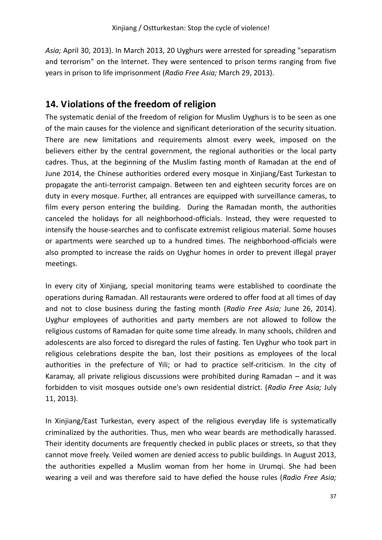*Asia;* April 30, 2013). In March 2013, 20 Uyghurs were arrested for spreading "separatism and terrorism" on the Internet. They were sentenced to prison terms ranging from five years in prison to life imprisonment (*Radio Free Asia;* March 29, 2013).

#### **14. Violations of the freedom of religion**

The systematic denial of the freedom of religion for Muslim Uyghurs is to be seen as one of the main causes for the violence and significant deterioration of the security situation. There are new limitations and requirements almost every week, imposed on the believers either by the central government, the regional authorities or the local party cadres. Thus, at the beginning of the Muslim fasting month of Ramadan at the end of June 2014, the Chinese authorities ordered every mosque in Xinjiang/East Turkestan to propagate the anti-terrorist campaign. Between ten and eighteen security forces are on duty in every mosque. Further, all entrances are equipped with surveillance cameras, to film every person entering the building. During the Ramadan month, the authorities canceled the holidays for all neighborhood-officials. Instead, they were requested to intensify the house-searches and to confiscate extremist religious material. Some houses or apartments were searched up to a hundred times. The neighborhood-officials were also prompted to increase the raids on Uyghur homes in order to prevent illegal prayer meetings.

In every city of Xinjiang, special monitoring teams were established to coordinate the operations during Ramadan. All restaurants were ordered to offer food at all times of day and not to close business during the fasting month (*Radio Free Asia;* June 26, 2014). Uyghur employees of authorities and party members are not allowed to follow the religious customs of Ramadan for quite some time already. In many schools, children and adolescents are also forced to disregard the rules of fasting. Ten Uyghur who took part in religious celebrations despite the ban, lost their positions as employees of the local authorities in the prefecture of Yili; or had to practice self-criticism. In the city of Karamay, all private religious discussions were prohibited during Ramadan – and it was forbidden to visit mosques outside one's own residential district. (*Radio Free Asia;* July 11, 2013).

In Xinjiang/East Turkestan, every aspect of the religious everyday life is systematically criminalized by the authorities. Thus, men who wear beards are methodically harassed. Their identity documents are frequently checked in public places or streets, so that they cannot move freely. Veiled women are denied access to public buildings. In August 2013, the authorities expelled a Muslim woman from her home in Urumqi. She had been wearing a veil and was therefore said to have defied the house rules (*Radio Free Asia;*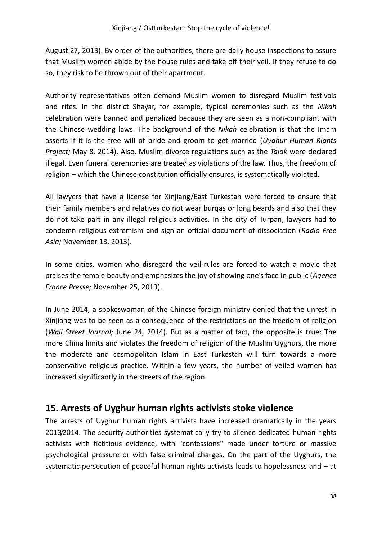August 27, 2013). By order of the authorities, there are daily house inspections to assure that Muslim women abide by the house rules and take off their veil. If they refuse to do so, they risk to be thrown out of their apartment.

Authority representatives often demand Muslim women to disregard Muslim festivals and rites. In the district Shayar, for example, typical ceremonies such as the *Nikah* celebration were banned and penalized because they are seen as a non-compliant with the Chinese wedding laws. The background of the *Nikah* celebration is that the Imam asserts if it is the free will of bride and groom to get married (*Uyghur Human Rights Project;* May 8, 2014). Also, Muslim divorce regulations such as the *Talak* were declared illegal. Even funeral ceremonies are treated as violations of the law. Thus, the freedom of religion – which the Chinese constitution officially ensures, is systematically violated.

All lawyers that have a license for Xinjiang/East Turkestan were forced to ensure that their family members and relatives do not wear burqas or long beards and also that they do not take part in any illegal religious activities. In the city of Turpan, lawyers had to condemn religious extremism and sign an official document of dissociation (*Radio Free Asia;* November 13, 2013).

In some cities, women who disregard the veil-rules are forced to watch a movie that praises the female beauty and emphasizes the joy of showing one's face in public (*Agence France Presse;* November 25, 2013).

In June 2014, a spokeswoman of the Chinese foreign ministry denied that the unrest in Xinjiang was to be seen as a consequence of the restrictions on the freedom of religion (*Wall Street Journal;* June 24, 2014). But as a matter of fact, the opposite is true: The more China limits and violates the freedom of religion of the Muslim Uyghurs, the more the moderate and cosmopolitan Islam in East Turkestan will turn towards a more conservative religious practice. Within a few years, the number of veiled women has increased significantly in the streets of the region.

#### **15. Arrests of Uyghur human rights activists stoke violence**

The arrests of Uyghur human rights activists have increased dramatically in the years 2013/2014. The security authorities systematically try to silence dedicated human rights activists with fictitious evidence, with "confessions" made under torture or massive psychological pressure or with false criminal charges. On the part of the Uyghurs, the systematic persecution of peaceful human rights activists leads to hopelessness and – at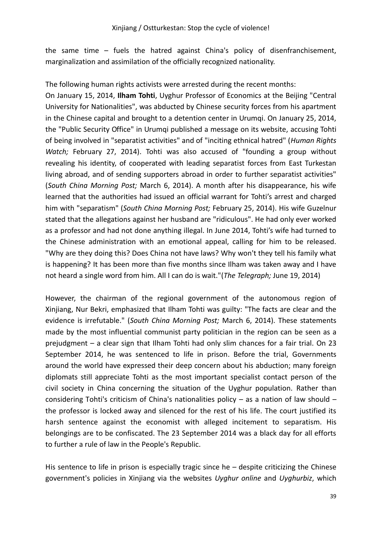the same time – fuels the hatred against China's policy of disenfranchisement, marginalization and assimilation of the officially recognized nationality.

The following human rights activists were arrested during the recent months:

On January 15, 2014, **Ilham Tohti**, Uyghur Professor of Economics at the Beijing "Central University for Nationalities", was abducted by Chinese security forces from his apartment in the Chinese capital and brought to a detention center in Urumqi. On January 25, 2014, the "Public Security Office" in Urumqi published a message on its website, accusing Tohti of being involved in "separatist activities" and of "inciting ethnical hatred" (*Human Rights Watch;* February 27, 2014). Tohti was also accused of "founding a group without revealing his identity, of cooperated with leading separatist forces from East Turkestan living abroad, and of sending supporters abroad in order to further separatist activities" (*South China Morning Post;* March 6, 2014). A month after his disappearance, his wife learned that the authorities had issued an official warrant for Tohti's arrest and charged him with "separatism" (*South China Morning Post;* February 25, 2014). His wife Guzelnur stated that the allegations against her husband are "ridiculous". He had only ever worked as a professor and had not done anything illegal. In June 2014, Tohti's wife had turned to the Chinese administration with an emotional appeal, calling for him to be released. "Why are they doing this? Does China not have laws? Why won't they tell his family what is happening? It has been more than five months since Ilham was taken away and I have not heard a single word from him. All I can do is wait."(*The Telegraph;* June 19, 2014)

However, the chairman of the regional government of the autonomous region of Xinjiang, Nur Bekri, emphasized that Ilham Tohti was guilty: "The facts are clear and the evidence is irrefutable." (*South China Morning Post;* March 6, 2014). These statements made by the most influential communist party politician in the region can be seen as a prejudgment – a clear sign that Ilham Tohti had only slim chances for a fair trial. On 23 September 2014, he was sentenced to life in prison. Before the trial, Governments around the world have expressed their deep concern about his abduction; many foreign diplomats still appreciate Tohti as the most important specialist contact person of the civil society in China concerning the situation of the Uyghur population. Rather than considering Tohti's criticism of China's nationalities policy – as a nation of law should – the professor is locked away and silenced for the rest of his life. The court justified its harsh sentence against the economist with alleged incitement to separatism. His belongings are to be confiscated. The 23 September 2014 was a black day for all efforts to further a rule of law in the People's Republic.

His sentence to life in prison is especially tragic since he  $-$  despite criticizing the Chinese government's policies in Xinjiang via the websites *Uyghur online* and *Uyghurbiz*, which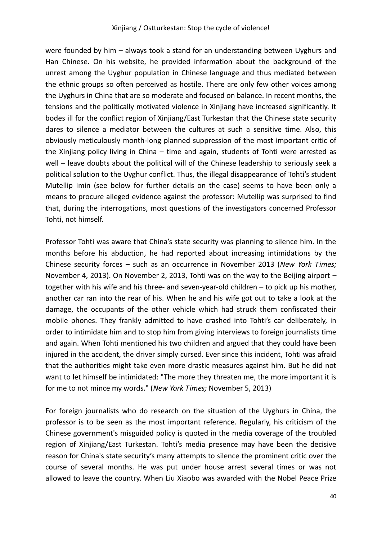were founded by him – always took a stand for an understanding between Uyghurs and Han Chinese. On his website, he provided information about the background of the unrest among the Uyghur population in Chinese language and thus mediated between the ethnic groups so often perceived as hostile. There are only few other voices among the Uyghurs in China that are so moderate and focused on balance. In recent months, the tensions and the politically motivated violence in Xinjiang have increased significantly. It bodes ill for the conflict region of Xinjiang/East Turkestan that the Chinese state security dares to silence a mediator between the cultures at such a sensitive time. Also, this obviously meticulously month-long planned suppression of the most important critic of the Xinjiang policy living in China – time and again, students of Tohti were arrested as well – leave doubts about the political will of the Chinese leadership to seriously seek a political solution to the Uyghur conflict. Thus, the illegal disappearance of Tohti's student Mutellip Imin (see below for further details on the case) seems to have been only a means to procure alleged evidence against the professor: Mutellip was surprised to find that, during the interrogations, most questions of the investigators concerned Professor Tohti, not himself.

Professor Tohti was aware that China's state security was planning to silence him. In the months before his abduction, he had reported about increasing intimidations by the Chinese security forces – such as an occurrence in November 2013 (*New York Times;*  November 4, 2013). On November 2, 2013, Tohti was on the way to the Beijing airport – together with his wife and his three- and seven-year-old children – to pick up his mother, another car ran into the rear of his. When he and his wife got out to take a look at the damage, the occupants of the other vehicle which had struck them confiscated their mobile phones. They frankly admitted to have crashed into Tohti's car deliberately, in order to intimidate him and to stop him from giving interviews to foreign journalists time and again. When Tohti mentioned his two children and argued that they could have been injured in the accident, the driver simply cursed. Ever since this incident, Tohti was afraid that the authorities might take even more drastic measures against him. But he did not want to let himself be intimidated: "The more they threaten me, the more important it is for me to not mince my words." (*New York Times;* November 5, 2013)

For foreign journalists who do research on the situation of the Uyghurs in China, the professor is to be seen as the most important reference. Regularly, his criticism of the Chinese government's misguided policy is quoted in the media coverage of the troubled region of Xinjiang/East Turkestan. Tohti's media presence may have been the decisive reason for China's state security's many attempts to silence the prominent critic over the course of several months. He was put under house arrest several times or was not allowed to leave the country. When Liu Xiaobo was awarded with the Nobel Peace Prize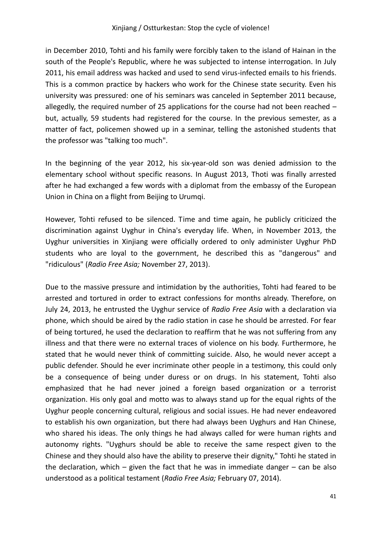in December 2010, Tohti and his family were forcibly taken to the island of Hainan in the south of the People's Republic, where he was subjected to intense interrogation. In July 2011, his email address was hacked and used to send virus-infected emails to his friends. This is a common practice by hackers who work for the Chinese state security. Even his university was pressured: one of his seminars was canceled in September 2011 because, allegedly, the required number of 25 applications for the course had not been reached – but, actually, 59 students had registered for the course. In the previous semester, as a matter of fact, policemen showed up in a seminar, telling the astonished students that the professor was "talking too much".

In the beginning of the year 2012, his six-year-old son was denied admission to the elementary school without specific reasons. In August 2013, Thoti was finally arrested after he had exchanged a few words with a diplomat from the embassy of the European Union in China on a flight from Beijing to Urumqi.

However, Tohti refused to be silenced. Time and time again, he publicly criticized the discrimination against Uyghur in China's everyday life. When, in November 2013, the Uyghur universities in Xinjiang were officially ordered to only administer Uyghur PhD students who are loyal to the government, he described this as "dangerous" and "ridiculous" (*Radio Free Asia;* November 27, 2013).

Due to the massive pressure and intimidation by the authorities, Tohti had feared to be arrested and tortured in order to extract confessions for months already. Therefore, on July 24, 2013, he entrusted the Uyghur service of *Radio Free Asia* with a declaration via phone, which should be aired by the radio station in case he should be arrested. For fear of being tortured, he used the declaration to reaffirm that he was not suffering from any illness and that there were no external traces of violence on his body. Furthermore, he stated that he would never think of committing suicide. Also, he would never accept a public defender. Should he ever incriminate other people in a testimony, this could only be a consequence of being under duress or on drugs. In his statement, Tohti also emphasized that he had never joined a foreign based organization or a terrorist organization. His only goal and motto was to always stand up for the equal rights of the Uyghur people concerning cultural, religious and social issues. He had never endeavored to establish his own organization, but there had always been Uyghurs and Han Chinese, who shared his ideas. The only things he had always called for were human rights and autonomy rights. "Uyghurs should be able to receive the same respect given to the Chinese and they should also have the ability to preserve their dignity," Tohti he stated in the declaration, which – given the fact that he was in immediate danger – can be also understood as a political testament (*Radio Free Asia;* February 07, 2014).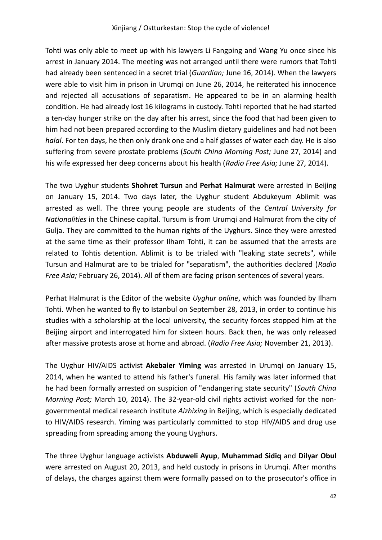Tohti was only able to meet up with his lawyers Li Fangping and Wang Yu once since his arrest in January 2014. The meeting was not arranged until there were rumors that Tohti had already been sentenced in a secret trial (*Guardian;* June 16, 2014). When the lawyers were able to visit him in prison in Urumqi on June 26, 2014, he reiterated his innocence and rejected all accusations of separatism. He appeared to be in an alarming health condition. He had already lost 16 kilograms in custody. Tohti reported that he had started a ten-day hunger strike on the day after his arrest, since the food that had been given to him had not been prepared according to the Muslim dietary guidelines and had not been *halal*. For ten days, he then only drank one and a half glasses of water each day. He is also suffering from severe prostate problems (*South China Morning Post;* June 27, 2014) and his wife expressed her deep concerns about his health (*Radio Free Asia;* June 27, 2014).

The two Uyghur students **Shohret Tursun** and **Perhat Halmurat** were arrested in Beijing on January 15, 2014. Two days later, the Uyghur student Abdukeyum Ablimit was arrested as well. The three young people are students of the *Central University for Nationalities* in the Chinese capital. Tursum is from Urumqi and Halmurat from the city of Gulja. They are committed to the human rights of the Uyghurs. Since they were arrested at the same time as their professor Ilham Tohti, it can be assumed that the arrests are related to Tohtis detention. Ablimit is to be trialed with "leaking state secrets", while Tursun and Halmurat are to be trialed for "separatism", the authorities declared (*Radio Free Asia;* February 26, 2014). All of them are facing prison sentences of several years.

Perhat Halmurat is the Editor of the website *Uyghur online*, which was founded by Ilham Tohti. When he wanted to fly to Istanbul on September 28, 2013, in order to continue his studies with a scholarship at the local university, the security forces stopped him at the Beijing airport and interrogated him for sixteen hours. Back then, he was only released after massive protests arose at home and abroad. (*Radio Free Asia;* November 21, 2013).

The Uyghur HIV/AIDS activist **Akebaier Yiming** was arrested in Urumqi on January 15, 2014, when he wanted to attend his father's funeral. His family was later informed that he had been formally arrested on suspicion of "endangering state security" (*South China Morning Post;* March 10, 2014). The 32-year-old civil rights activist worked for the nongovernmental medical research institute *Aizhixing* in Beijing, which is especially dedicated to HIV/AIDS research. Yiming was particularly committed to stop HIV/AIDS and drug use spreading from spreading among the young Uyghurs.

The three Uyghur language activists **Abduweli Ayup**, **Muhammad Sidiq** and **Dilyar Obul**  were arrested on August 20, 2013, and held custody in prisons in Urumqi. After months of delays, the charges against them were formally passed on to the prosecutor's office in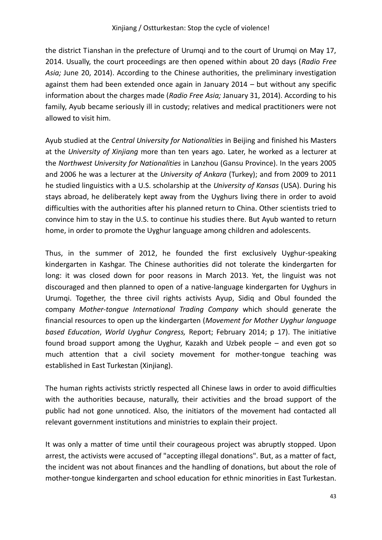the district Tianshan in the prefecture of Urumqi and to the court of Urumqi on May 17, 2014. Usually, the court proceedings are then opened within about 20 days (*Radio Free Asia;* June 20, 2014). According to the Chinese authorities, the preliminary investigation against them had been extended once again in January 2014 – but without any specific information about the charges made (*Radio Free Asia;* January 31, 2014). According to his family, Ayub became seriously ill in custody; relatives and medical practitioners were not allowed to visit him.

Ayub studied at the *Central University for Nationalities* in Beijing and finished his Masters at the *University of Xinjiang* more than ten years ago. Later, he worked as a lecturer at the *Northwest University for Nationalities* in Lanzhou (Gansu Province). In the years 2005 and 2006 he was a lecturer at the *University of Ankara* (Turkey); and from 2009 to 2011 he studied linguistics with a U.S. scholarship at the *University of Kansas* (USA). During his stays abroad, he deliberately kept away from the Uyghurs living there in order to avoid difficulties with the authorities after his planned return to China. Other scientists tried to convince him to stay in the U.S. to continue his studies there. But Ayub wanted to return home, in order to promote the Uyghur language among children and adolescents.

Thus, in the summer of 2012, he founded the first exclusively Uyghur-speaking kindergarten in Kashgar. The Chinese authorities did not tolerate the kindergarten for long: it was closed down for poor reasons in March 2013. Yet, the linguist was not discouraged and then planned to open of a native-language kindergarten for Uyghurs in Urumqi. Together, the three civil rights activists Ayup, Sidiq and Obul founded the company *Mother-tongue International Trading Company* which should generate the financial resources to open up the kindergarten (*Movement for Mother Uyghur language based Education*, *World Uyghur Congress,* Report; February 2014; p 17). The initiative found broad support among the Uyghur, Kazakh and Uzbek people – and even got so much attention that a civil society movement for mother-tongue teaching was established in East Turkestan (Xinjiang).

The human rights activists strictly respected all Chinese laws in order to avoid difficulties with the authorities because, naturally, their activities and the broad support of the public had not gone unnoticed. Also, the initiators of the movement had contacted all relevant government institutions and ministries to explain their project.

It was only a matter of time until their courageous project was abruptly stopped. Upon arrest, the activists were accused of "accepting illegal donations". But, as a matter of fact, the incident was not about finances and the handling of donations, but about the role of mother-tongue kindergarten and school education for ethnic minorities in East Turkestan.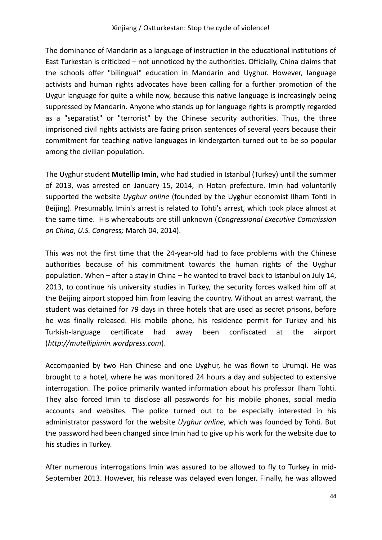The dominance of Mandarin as a language of instruction in the educational institutions of East Turkestan is criticized – not unnoticed by the authorities. Officially, China claims that the schools offer "bilingual" education in Mandarin and Uyghur. However, language activists and human rights advocates have been calling for a further promotion of the Uygur language for quite a while now, because this native language is increasingly being suppressed by Mandarin. Anyone who stands up for language rights is promptly regarded as a "separatist" or "terrorist" by the Chinese security authorities. Thus, the three imprisoned civil rights activists are facing prison sentences of several years because their commitment for teaching native languages in kindergarten turned out to be so popular among the civilian population.

The Uyghur student **Mutellip Imin,** who had studied in Istanbul (Turkey) until the summer of 2013, was arrested on January 15, 2014, in Hotan prefecture. Imin had voluntarily supported the website *Uyghur online* (founded by the Uyghur economist Ilham Tohti in Beijing). Presumably, Imin's arrest is related to Tohti's arrest, which took place almost at the same time. His whereabouts are still unknown (*Congressional Executive Commission on China*, *U.S. Congre*ss*;* March 04, 2014).

This was not the first time that the 24-year-old had to face problems with the Chinese authorities because of his commitment towards the human rights of the Uyghur population. When – after a stay in China – he wanted to travel back to Istanbul on July 14, 2013, to continue his university studies in Turkey, the security forces walked him off at the Beijing airport stopped him from leaving the country. Without an arrest warrant, the student was detained for 79 days in three hotels that are used as secret prisons, before he was finally released. His mobile phone, his residence permit for Turkey and his Turkish-language certificate had away been confiscated at the airport (*http://mutellipimin.wordpress.com*).

Accompanied by two Han Chinese and one Uyghur, he was flown to Urumqi. He was brought to a hotel, where he was monitored 24 hours a day and subjected to extensive interrogation. The police primarily wanted information about his professor Ilham Tohti. They also forced Imin to disclose all passwords for his mobile phones, social media accounts and websites. The police turned out to be especially interested in his administrator password for the website *Uyghur online*, which was founded by Tohti. But the password had been changed since Imin had to give up his work for the website due to his studies in Turkey.

After numerous interrogations Imin was assured to be allowed to fly to Turkey in mid-September 2013. However, his release was delayed even longer. Finally, he was allowed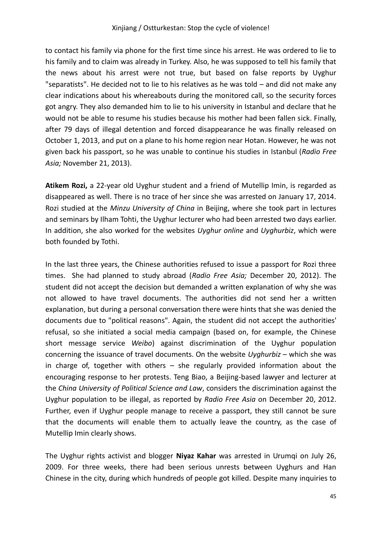to contact his family via phone for the first time since his arrest. He was ordered to lie to his family and to claim was already in Turkey. Also, he was supposed to tell his family that the news about his arrest were not true, but based on false reports by Uyghur "separatists". He decided not to lie to his relatives as he was told – and did not make any clear indications about his whereabouts during the monitored call, so the security forces got angry. They also demanded him to lie to his university in Istanbul and declare that he would not be able to resume his studies because his mother had been fallen sick. Finally, after 79 days of illegal detention and forced disappearance he was finally released on October 1, 2013, and put on a plane to his home region near Hotan. However, he was not given back his passport, so he was unable to continue his studies in Istanbul (*Radio Free Asia;* November 21, 2013).

**Atikem Rozi,** a 22-year old Uyghur student and a friend of Mutellip Imin, is regarded as disappeared as well. There is no trace of her since she was arrested on January 17, 2014. Rozi studied at the *Minzu University of China* in Beijing, where she took part in lectures and seminars by Ilham Tohti, the Uyghur lecturer who had been arrested two days earlier. In addition, she also worked for the websites *Uyghur online* and *Uyghurbiz*, which were both founded by Tothi.

In the last three years, the Chinese authorities refused to issue a passport for Rozi three times. She had planned to study abroad (*Radio Free Asia;* December 20, 2012). The student did not accept the decision but demanded a written explanation of why she was not allowed to have travel documents. The authorities did not send her a written explanation, but during a personal conversation there were hints that she was denied the documents due to "political reasons". Again, the student did not accept the authorities' refusal, so she initiated a social media campaign (based on, for example, the Chinese short message service *Weibo*) against discrimination of the Uyghur population concerning the issuance of travel documents. On the website *Uyghurbiz* – which she was in charge of, together with others  $-$  she regularly provided information about the encouraging response to her protests. Teng Biao, a Beijing-based lawyer and lecturer at the *China University of Political Science and Law*, considers the discrimination against the Uyghur population to be illegal, as reported by *Radio Free Asia* on December 20, 2012. Further, even if Uyghur people manage to receive a passport, they still cannot be sure that the documents will enable them to actually leave the country, as the case of Mutellip Imin clearly shows.

The Uyghur rights activist and blogger **Niyaz Kahar** was arrested in Urumqi on July 26, 2009. For three weeks, there had been serious unrests between Uyghurs and Han Chinese in the city, during which hundreds of people got killed. Despite many inquiries to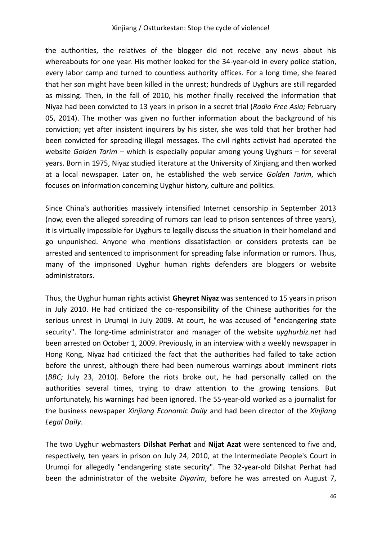#### Xinjiang / Ostturkestan: Stop the cycle of violence!

the authorities, the relatives of the blogger did not receive any news about his whereabouts for one year. His mother looked for the 34-year-old in every police station, every labor camp and turned to countless authority offices. For a long time, she feared that her son might have been killed in the unrest; hundreds of Uyghurs are still regarded as missing. Then, in the fall of 2010, his mother finally received the information that Niyaz had been convicted to 13 years in prison in a secret trial (*Radio Free Asia;* February 05, 2014). The mother was given no further information about the background of his conviction; yet after insistent inquirers by his sister, she was told that her brother had been convicted for spreading illegal messages. The civil rights activist had operated the website *Golden Tarim –* which is especially popular among young Uyghurs – for several years. Born in 1975, Niyaz studied literature at the University of Xinjiang and then worked at a local newspaper. Later on, he established the web service *Golden Tarim*, which focuses on information concerning Uyghur history, culture and politics.

Since China's authorities massively intensified Internet censorship in September 2013 (now, even the alleged spreading of rumors can lead to prison sentences of three years), it is virtually impossible for Uyghurs to legally discuss the situation in their homeland and go unpunished. Anyone who mentions dissatisfaction or considers protests can be arrested and sentenced to imprisonment for spreading false information or rumors. Thus, many of the imprisoned Uyghur human rights defenders are bloggers or website administrators.

Thus, the Uyghur human rights activist **Gheyret Niyaz** was sentenced to 15 years in prison in July 2010. He had criticized the co-responsibility of the Chinese authorities for the serious unrest in Urumqi in July 2009. At court, he was accused of "endangering state security". The long-time administrator and manager of the website *uyghurbiz.net* had been arrested on October 1, 2009. Previously, in an interview with a weekly newspaper in Hong Kong, Niyaz had criticized the fact that the authorities had failed to take action before the unrest, although there had been numerous warnings about imminent riots (*BBC;* July 23, 2010). Before the riots broke out, he had personally called on the authorities several times, trying to draw attention to the growing tensions. But unfortunately, his warnings had been ignored. The 55-year-old worked as a journalist for the business newspaper *Xinjiang Economic Daily* and had been director of the *Xinjiang Legal Daily*.

The two Uyghur webmasters **Dilshat Perhat** and **Nijat Azat** were sentenced to five and, respectively, ten years in prison on July 24, 2010, at the Intermediate People's Court in Urumqi for allegedly "endangering state security". The 32-year-old Dilshat Perhat had been the administrator of the website *Diyarim*, before he was arrested on August 7,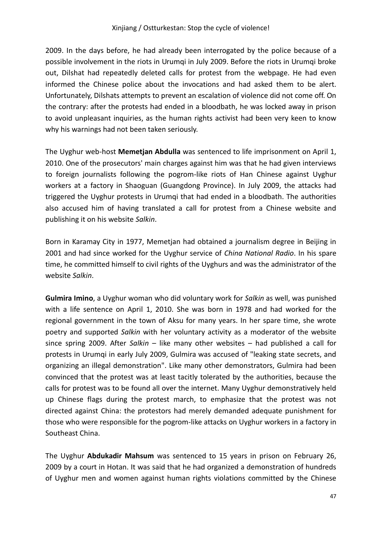2009. In the days before, he had already been interrogated by the police because of a possible involvement in the riots in Urumqi in July 2009. Before the riots in Urumqi broke out, Dilshat had repeatedly deleted calls for protest from the webpage. He had even informed the Chinese police about the invocations and had asked them to be alert. Unfortunately, Dilshats attempts to prevent an escalation of violence did not come off. On the contrary: after the protests had ended in a bloodbath, he was locked away in prison to avoid unpleasant inquiries, as the human rights activist had been very keen to know why his warnings had not been taken seriously.

The Uyghur web-host **Memetjan Abdulla** was sentenced to life imprisonment on April 1, 2010. One of the prosecutors' main charges against him was that he had given interviews to foreign journalists following the pogrom-like riots of Han Chinese against Uyghur workers at a factory in Shaoguan (Guangdong Province). In July 2009, the attacks had triggered the Uyghur protests in Urumqi that had ended in a bloodbath. The authorities also accused him of having translated a call for protest from a Chinese website and publishing it on his website *Salkin*.

Born in Karamay City in 1977, Memetjan had obtained a journalism degree in Beijing in 2001 and had since worked for the Uyghur service of *China National Radio*. In his spare time, he committed himself to civil rights of the Uyghurs and was the administrator of the website *Salkin*.

**Gulmira Imino**, a Uyghur woman who did voluntary work for *Salkin* as well, was punished with a life sentence on April 1, 2010. She was born in 1978 and had worked for the regional government in the town of Aksu for many years. In her spare time, she wrote poetry and supported *Salkin* with her voluntary activity as a moderator of the website since spring 2009. After *Salkin* – like many other websites – had published a call for protests in Urumqi in early July 2009, Gulmira was accused of "leaking state secrets, and organizing an illegal demonstration". Like many other demonstrators, Gulmira had been convinced that the protest was at least tacitly tolerated by the authorities, because the calls for protest was to be found all over the internet. Many Uyghur demonstratively held up Chinese flags during the protest march, to emphasize that the protest was not directed against China: the protestors had merely demanded adequate punishment for those who were responsible for the pogrom-like attacks on Uyghur workers in a factory in Southeast China.

The Uyghur **Abdukadir Mahsum** was sentenced to 15 years in prison on February 26, 2009 by a court in Hotan. It was said that he had organized a demonstration of hundreds of Uyghur men and women against human rights violations committed by the Chinese